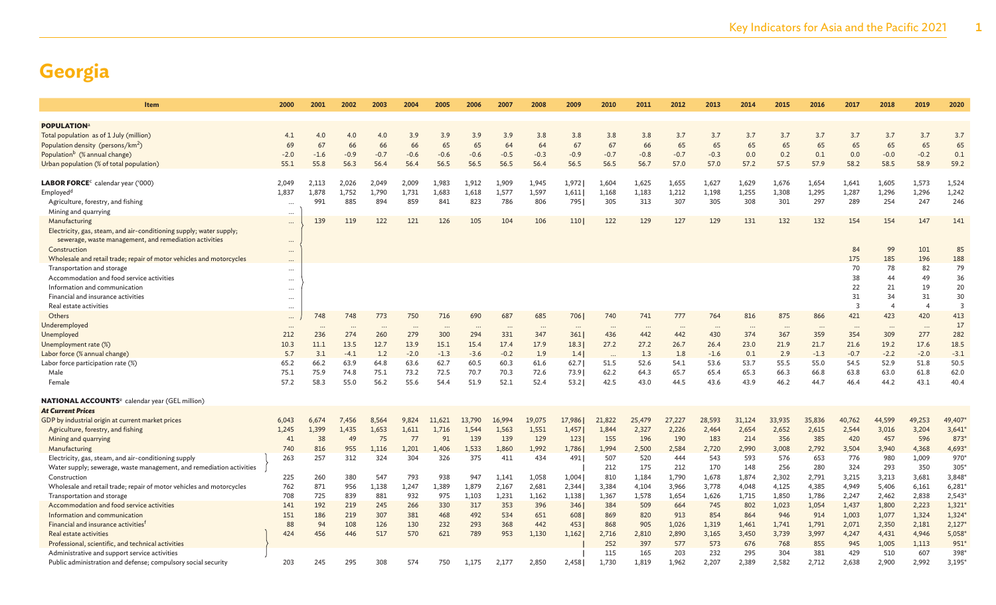| Item                                                                                               | 2000            | 2001            | 2002             | 2003            | 2004            | 2005         | 2006         | 2007            | 2008             | 2009            | 2010             | 2011         | 2012         | 2013            | 2014            | 2015            | 2016             | 2017                    | 2018            | 2019                    | 2020           |
|----------------------------------------------------------------------------------------------------|-----------------|-----------------|------------------|-----------------|-----------------|--------------|--------------|-----------------|------------------|-----------------|------------------|--------------|--------------|-----------------|-----------------|-----------------|------------------|-------------------------|-----------------|-------------------------|----------------|
|                                                                                                    |                 |                 |                  |                 |                 |              |              |                 |                  |                 |                  |              |              |                 |                 |                 |                  |                         |                 |                         |                |
| <b>POPULATION</b> <sup>a</sup>                                                                     |                 |                 |                  |                 |                 |              |              |                 |                  |                 |                  |              |              |                 |                 |                 |                  |                         |                 |                         |                |
| Total population as of 1 July (million)                                                            | 4.1             | 4.0             | 4.0              | 4.0             | 3.9             | 3.9          | 3.9          | 3.9             | 3.8              | 3.8             | 3.8              | 3.8          | 3.7          | 3.7             | 3.7             | 3.7             | 3.7              | 3.7                     | 3.7             | 3.7                     | 3.7            |
| Population density (persons/km <sup>2</sup> )                                                      | 69              | 67              | 66               | 66              | 66              | 65           | 65           | 64              | 64               | 67              | 67               | 66           | 65           | 65              | 65              | 65              | 65               | 65                      | 65              | 65                      | 65             |
| Population <sup>b</sup> (% annual change)                                                          | $-2.0$          | $-1.6$          | $-0.9$           | $-0.7$          | $-0.6$          | $-0.6$       | $-0.6$       | $-0.5$          | $-0.3$           | $-0.9$          | $-0.7$           | $-0.8$       | $-0.7$       | $-0.3$          | 0.0             | 0.2             | 0.1              | 0.0                     | $-0.0$          | $-0.2$                  | 0.1            |
| Urban population (% of total population)                                                           | 55.1            | 55.8            | 56.3             | 56.4            | 56.4            | 56.5         | 56.5         | 56.5            | 56.4             | 56.5            | 56.5             | 56.7         | 57.0         | 57.0            | 57.2            | 57.5            | 57.9             | 58.2                    | 58.5            | 58.9                    | 59.2           |
|                                                                                                    |                 |                 |                  |                 |                 |              |              |                 |                  |                 |                  |              |              |                 |                 |                 |                  |                         |                 |                         |                |
| LABOR FORCE <sup>c</sup> calendar year ('000)                                                      | 2.049           | 2,113           | 2,026            | 2.049           | 2,009           | 1,983        | 1.912        | 1,909           | 1.945            | 1,972           | 1.604            | 1,625        | 1,655        | 1,627           | 1,629           | 1,676           | 1,654            | 1,641                   | 1,605           | 1,573                   | 1,524          |
| Employed <sup>d</sup>                                                                              | 1,837           | 1,878<br>991    | 1,752<br>885     | 1,790<br>894    | 1,731<br>859    | 1,683<br>841 | 1,618<br>823 | 1,577<br>786    | 1,597<br>806     | 1,611           | 1,168<br>305     | 1,183<br>313 | 1,212<br>307 | 1,198           | 1,255<br>308    | 1,308<br>301    | 1,295<br>297     | 1,287<br>289            | 1,296<br>254    | 1,296<br>247            | 1,242<br>246   |
| Agriculture, forestry, and fishing                                                                 | $\ddotsc$       |                 |                  |                 |                 |              |              |                 |                  | 795             |                  |              |              | 305             |                 |                 |                  |                         |                 |                         |                |
| Mining and quarrying<br>Manufacturing                                                              | $\cdots$        | 139             | 119              | 122             | 121             | 126          | 105          | 104             | 106              | 110             | 122              | 129          | 127          | 129             | 131             | 132             | 132              | 154                     | 154             | 147                     | 141            |
|                                                                                                    | $\ddotsc$       |                 |                  |                 |                 |              |              |                 |                  |                 |                  |              |              |                 |                 |                 |                  |                         |                 |                         |                |
| Electricity, gas, steam, and air-conditioning supply; water supply;                                |                 |                 |                  |                 |                 |              |              |                 |                  |                 |                  |              |              |                 |                 |                 |                  |                         |                 |                         |                |
| sewerage, waste management, and remediation activities                                             | $\cdots$        |                 |                  |                 |                 |              |              |                 |                  |                 |                  |              |              |                 |                 |                 |                  | 84                      |                 |                         |                |
| Construction                                                                                       | $\cdots$        |                 |                  |                 |                 |              |              |                 |                  |                 |                  |              |              |                 |                 |                 |                  | 175                     | 99<br>185       | 101<br>196              | 85<br>188      |
| Wholesale and retail trade; repair of motor vehicles and motorcycles<br>Transportation and storage | $\cdots$        |                 |                  |                 |                 |              |              |                 |                  |                 |                  |              |              |                 |                 |                 |                  | 70                      | 78              | 82                      | 79             |
| Accommodation and food service activities                                                          | $\cdots$        |                 |                  |                 |                 |              |              |                 |                  |                 |                  |              |              |                 |                 |                 |                  | 38                      | 44              | 49                      | 36             |
| Information and communication                                                                      | $\cdots$        |                 |                  |                 |                 |              |              |                 |                  |                 |                  |              |              |                 |                 |                 |                  | 22                      | 21              | 19                      | 20             |
| Financial and insurance activities                                                                 | $\cdots$        |                 |                  |                 |                 |              |              |                 |                  |                 |                  |              |              |                 |                 |                 |                  | 31                      | 34              | 31                      | 30             |
| Real estate activities                                                                             | $\cdots$        |                 |                  |                 |                 |              |              |                 |                  |                 |                  |              |              |                 |                 |                 |                  | $\overline{\mathbf{3}}$ | $\overline{4}$  | $\overline{\mathbf{A}}$ | $\overline{3}$ |
| Others                                                                                             | $\cdots$        | 748             | 748              | 773             | 750             | 716          | 690          | 687             | 685              | 706             | 740              | 741          | 777          | 764             | 816             | 875             | 866              | 421                     | 423             | 420                     | 413            |
| Underemployed                                                                                      | $\cdots$        |                 |                  |                 |                 |              |              |                 |                  |                 |                  |              |              |                 |                 |                 |                  |                         |                 |                         | 17             |
| Unemployed                                                                                         | $\cdots$<br>212 | $\cdots$<br>236 | $\ddotsc$<br>274 | $\cdots$<br>260 | $\cdots$<br>279 | <br>300      | <br>294      | $\cdots$<br>331 | $\ddotsc$<br>347 | $\cdots$<br>361 | $\cdots$<br>436  | <br>442      | <br>442      | $\cdots$<br>430 | $\cdots$<br>374 | $\cdots$<br>367 | $\ddotsc$<br>359 | $\cdots$<br>354         | $\cdots$<br>309 | $\ddots$<br>277         | 282            |
| Unemployment rate (%)                                                                              | 10.3            | 11.1            | 13.5             | 12.7            | 13.9            | 15.1         | 15.4         | 17.4            | 17.9             | 18.3            | 27.2             | 27.2         | 26.7         | 26.4            | 23.0            | 21.9            | 21.7             | 21.6                    | 19.2            | 17.6                    | 18.5           |
| Labor force (% annual change)                                                                      | 5.7             | 3.1             | $-4.1$           | 1.2             | $-2.0$          | $-1.3$       | $-3.6$       | $-0.2$          | 1.9              | 1.4             |                  | 1.3          | 1.8          | $-1.6$          | 0.1             | 2.9             | $-1.3$           | $-0.7$                  | $-2.2$          | $-2.0$                  | $-3.1$         |
| Labor force participation rate (%)                                                                 | 65.2            | 66.2            | 63.9             | 64.8            | 63.6            | 62.7         | 60.5         | 60.3            | 61.6             | 62.7            | $\ddots$<br>51.5 | 52.6         | 54.1         | 53.6            | 53.7            | 55.5            | 55.0             | 54.5                    | 52.9            | 51.8                    | 50.5           |
| Male                                                                                               | 75.1            | 75.9            | 74.8             | 75.1            | 73.2            | 72.5         | 70.7         | 70.3            | 72.6             | 73.9            | 62.2             | 64.3         | 65.7         | 65.4            | 65.3            | 66.3            | 66.8             | 63.8                    | 63.0            | 61.8                    | 62.0           |
| Female                                                                                             | 57.2            | 58.3            | 55.0             | 56.2            | 55.6            | 54.4         | 51.9         | 52.1            | 52.4             | 53.2            | 42.5             | 43.0         | 44.5         | 43.6            | 43.9            | 46.2            | 44.7             | 46.4                    | 44.2            | 43.1                    | 40.4           |
|                                                                                                    |                 |                 |                  |                 |                 |              |              |                 |                  |                 |                  |              |              |                 |                 |                 |                  |                         |                 |                         |                |
| <b>NATIONAL ACCOUNTS</b> e calendar year (GEL million)                                             |                 |                 |                  |                 |                 |              |              |                 |                  |                 |                  |              |              |                 |                 |                 |                  |                         |                 |                         |                |
| <b>At Current Prices</b>                                                                           |                 |                 |                  |                 |                 |              |              |                 |                  |                 |                  |              |              |                 |                 |                 |                  |                         |                 |                         |                |
| GDP by industrial origin at current market prices                                                  | 6,043           | 6,674           | 7,456            | 8,564           | 9,824           | 11,621       | 13,790       | 16,994          | 19,075           | 17,986          | 21,822           | 25,479       | 27,227       | 28,593          | 31,124          | 33,935          | 35,836           | 40,762                  | 44,599          | 49,253                  | 49,407         |
| Agriculture, forestry, and fishing                                                                 | 1,245           | 1,399           | 1,435            | 1,653           | 1,611           | 1,716        | 1,544        | 1,563           | 1,551            | 1,457           | 1,844            | 2,327        | 2,226        | 2,464           | 2,654           | 2,652           | 2,615            | 2,544                   | 3,016           | 3,204                   | 3,641          |
| Mining and quarrying                                                                               | 41              | 38              | 49               | 75              | 77              | 91           | 139          | 139             | 129              | 123             | 155              | 196          | 190          | 183             | 214             | 356             | 385              | 420                     | 457             | 596                     | 873*           |
| Manufacturing                                                                                      | 740             | 816             | 955              | 1.116           | 1.201           | 1.406        | 1,533        | 1,860           | 1,992            | 1,786           | 1,994            | 2,500        | 2,584        | 2,720           | 2,990           | 3,008           | 2,792            | 3,504                   | 3,940           | 4,368                   | $4,693*$       |
| Electricity, gas, steam, and air-conditioning supply                                               | 263             | 257             | 312              | 324             | 304             | 326          | 375          | 411             | 434              | 491             | 507              | 520          | 444          | 543             | 593             | 576             | 653              | 776                     | 980             | 1,009                   | 970*           |
| Water supply; sewerage, waste management, and remediation activities                               |                 |                 |                  |                 |                 |              |              |                 |                  |                 | 212              | 175          | 212          | 170             | 148             | 256             | 280              | 324                     | 293             | 350                     | 305            |
| Construction                                                                                       | 225             | 260             | 380              | 547             | 793             | 938          | 947          | 1,141           | 1,058            | 1,004           | 810              | 1,184        | 1,790        | 1,678           | 1,874           | 2,302           | 2,791            | 3,215                   | 3,213           | 3,681                   | 3,848*         |
| Wholesale and retail trade; repair of motor vehicles and motorcycles                               | 762             | 871             | 956              | 1,138           | 1,247           | 1,389        | 1,879        | 2,167           | 2,681            | 2,344           | 3,384            | 4,104        | 3,966        | 3,778           | 4,048           | 4,125           | 4,385            | 4,949                   | 5,406           | 6,161                   | 6,281          |
| Transportation and storage                                                                         | 708             | 725             | 839              | 881             | 932             | 975          | 1,103        | 1,231           | 1,162            | 1,138           | 1,367            | 1,578        | 1,654        | 1,626           | 1,715           | 1,850           | 1,786            | 2,247                   | 2,462           | 2,838                   | 2,543          |
| Accommodation and food service activities                                                          | 141             | 192             | 219              | 245             | 266             | 330          | 317          | 353             | 396              | 346             | 384              | 509          | 664          | 745             | 802             | 1,023           | 1,054            | 1,437                   | 1,800           | 2,223                   | 1,321'         |
| Information and communication                                                                      | 151             | 186             | 219              | 307             | 381             | 468          | 492          | 534             | 651              | 608             | 869              | 820          | 913          | 854             | 864             | 946             | 914              | 1,003                   | 1,077           | 1,324                   | 1,324          |
| Financial and insurance activities <sup>1</sup>                                                    | 88              | 94              | 108              | 126             | 130             | 232          | 293          | 368             | 442              | 453             | 868              | 905          | 1,026        | 1,319           | 1,461           | 1.741           | 1,791            | 2,071                   | 2,350           | 2,181                   | $2,127*$       |
| Real estate activities                                                                             | 424             | 456             | 446              | 517             | 570             | 621          | 789          | 953             | 1.130            | 1,162           | 2,716            | 2,810        | 2,890        | 3,165           | 3,450           | 3,739           | 3,997            | 4,247                   | 4,431           | 4,946                   | $5,058*$       |
| Professional, scientific, and technical activities                                                 |                 |                 |                  |                 |                 |              |              |                 |                  |                 | 252              | 397          | 577          | 573             | 676             | 768             | 855              | 945                     | 1,005           | 1,113                   | 951            |
| Administrative and support service activities                                                      |                 |                 |                  |                 |                 |              |              |                 |                  |                 | 115              | 165          | 203          | 232             | 295             | 304             | 381              | 429                     | 510             | 607                     | 398*           |
| Public administration and defense; compulsory social security                                      | 203             | 245             | 295              | 308             | 574             | 750          | 1.175        | 2.177           | 2.850            | 2,458           | 1.730            | 1,819        | 1,962        | 2,207           | 2,389           | 2,582           | 2,712            | 2,638                   | 2,900           | 2,992                   | 3,195'         |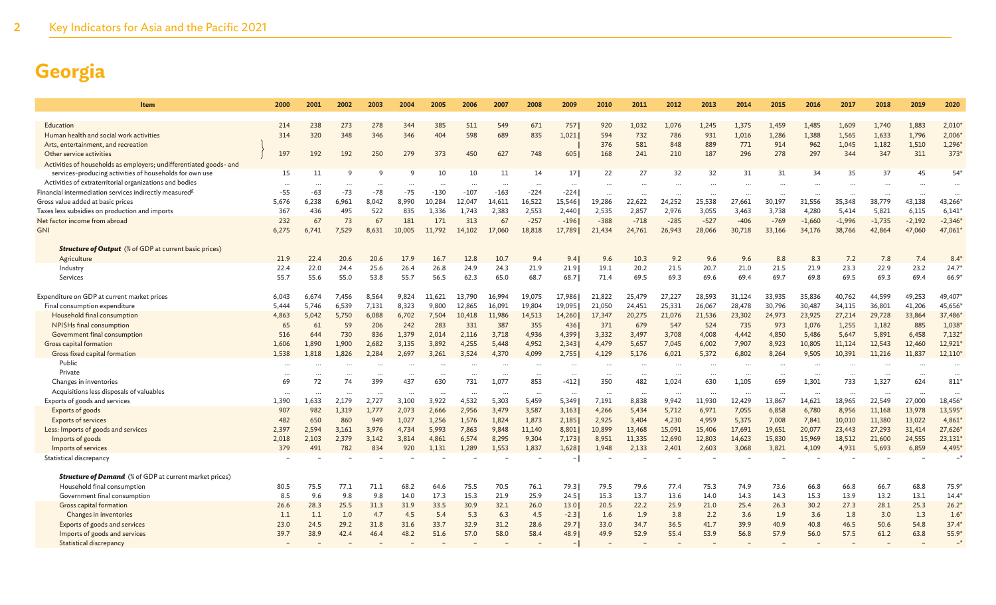| Item                                                               | 2000     | 2001      | 2002     | 2003     | 2004     | 2005     | 2006      | 2007     | 2008      | 2009            | 2010     | 2011     | 2012                 | 2013     | 2014     | 2015     | 2016      | 2017     | 2018     | 2019     | 2020              |
|--------------------------------------------------------------------|----------|-----------|----------|----------|----------|----------|-----------|----------|-----------|-----------------|----------|----------|----------------------|----------|----------|----------|-----------|----------|----------|----------|-------------------|
|                                                                    |          |           |          |          |          |          |           |          |           |                 |          |          |                      |          |          |          |           |          |          |          |                   |
| Education                                                          | 214      | 238       | 273      | 278      | 344      | 385      | 511       | 549      | 671       | 757             | 920      | 1,032    | 1,076                | 1,245    | 1,375    | 1,459    | 1,485     | 1,609    | 1,740    | 1,883    | 2,010             |
| Human health and social work activities                            | 314      | 320       | 348      | 346      | 346      | 404      | 598       | 689      | 835       | 1.0211          | 594      | 732      | 786                  | 931      | 1,016    | 1,286    | 1,388     | 1,565    | 1,633    | 1,796    | 2,006             |
| Arts, entertainment, and recreation                                |          |           |          |          |          |          |           |          |           |                 | 376      | 581      | 848                  | 889      | 771      | 914      | 962       | 1,045    | 1,182    | 1,510    | 1,296             |
| Other service activities                                           | 197      | 192       | 192      | 250      | 279      | 373      | 450       | 627      | 748       | 605             | 168      | 241      | 210                  | 187      | 296      | 278      | 297       | 344      | 347      | 311      | 373'              |
| Activities of households as employers; undifferentiated goods- and |          |           |          |          |          |          |           |          |           |                 |          |          |                      |          |          |          |           |          |          |          |                   |
| services-producing activities of households for own use            | 15       | 11        | q        | q        | q        | 10       | 10        | 11       | 14        | 17 <sup>1</sup> | 22       | 27       | 32                   | 32       | 31       | 31       | 34        | 35       | 37       | 45       | $54*$             |
| Activities of extraterritorial organizations and bodies            | $\cdots$ | $\cdots$  | $\cdots$ | $\cdots$ | $\ldots$ | $\ddots$ | $\ddotsc$ |          | $\cdots$  | $\cdots$        | $\cdots$ |          | $\ddot{\phantom{a}}$ | $\cdots$ |          | $\cdots$ | $\ddotsc$ |          |          |          | $\ddots$          |
| Financial intermediation services indirectly measured <sup>g</sup> | $-55$    | $-63$     | $-73$    | $-78$    | $-75$    | $-130$   | $-107$    | $-163$   | $-224$    | $-224$          | $\cdots$ |          |                      | $\cdots$ |          | $\ddots$ |           |          |          | $\cdots$ |                   |
| Gross value added at basic prices                                  | 5,676    | 6,238     | 6,961    | 8.042    | 8.990    | 10.284   | 12.047    | 14,611   | 16,522    | 15,546          | 19,286   | 22,622   | 24.252               | 25,538   | 27.661   | 30.197   | 31,556    | 35,348   | 38,779   | 43.138   | 43,266            |
| Taxes less subsidies on production and imports                     | 367      | 436       | 495      | 522      | 835      | 1,336    | 1,743     | 2,383    | 2,553     | 2,440           | 2,535    | 2,857    | 2,976                | 3,055    | 3,463    | 3,738    | 4,280     | 5,414    | 5,821    | 6,115    | 6,141             |
| Net factor income from abroad                                      | 232      | 67        | 73       | 67       | 181      | 171      | 313       | 67       | $-257$    | $-196$          | $-388$   | $-718$   | $-285$               | $-527$   | $-406$   | $-769$   | $-1,660$  | $-1,996$ | $-1,735$ | $-2,192$ | $-2,346'$         |
| <b>GNI</b>                                                         | 6,275    | 6,741     | 7,529    | 8,631    | 10,005   | 11,792   | 14,102    | 17,060   | 18,818    | 17,789          | 21,434   | 24,761   | 26,943               | 28,066   | 30,718   | 33,166   | 34,176    | 38,766   | 42,864   | 47,060   | 47,061            |
| <b>Structure of Output</b> (% of GDP at current basic prices)      |          |           |          |          |          |          |           |          |           |                 |          |          |                      |          |          |          |           |          |          |          |                   |
| Agriculture                                                        | 21.9     | 22.4      | 20.6     | 20.6     | 17.9     | 16.7     | 12.8      | 10.7     | 9.4       | 9.41            | 9.6      | 10.3     | 9.2                  | 9.6      | 9.6      | 8.8      | 8.3       | 7.2      | 7.8      | 7.4      | $8.4^{\circ}$     |
| Industry                                                           | 22.4     | 22.0      | 24.4     | 25.6     | 26.4     | 26.8     | 24.9      | 24.3     | 21.9      | 21.9            | 19.1     | 20.2     | 21.5                 | 20.7     | 21.0     | 21.5     | 21.9      | 23.3     | 22.9     | 23.2     | 24.7'             |
| Services                                                           | 55.7     | 55.6      | 55.0     | 53.8     | 55.7     | 56.5     | 62.3      | 65.0     | 68.7      | 68.71           | 71.4     | 69.5     | 69.3                 | 69.6     | 69.4     | 69.7     | 69.8      | 69.5     | 69.3     | 69.4     | 66.9              |
| Expenditure on GDP at current market prices                        | 6,043    | 6,674     | 7,456    | 8,564    | 9,824    | 11,621   | 13.790    | 16.994   | 19,075    | 17,986          | 21,822   | 25,479   | 27,227               | 28,593   | 31,124   | 33,935   | 35,836    | 40,762   | 44,599   | 49,253   | 49,407            |
| Final consumption expenditure                                      | 5.444    | 5,746     | 6,539    | 7,131    | 8,323    | 9,800    | 12,865    | 16,091   | 19,804    | 19,095          | 21,050   | 24,451   | 25,331               | 26,067   | 28,478   | 30,796   | 30,487    | 34,115   | 36,801   | 41,206   | 45,656            |
| Household final consumption                                        | 4,863    | 5,042     | 5,750    | 6,088    | 6,702    | 7,504    | 10,418    | 11,986   | 14,513    | 14,260          | 17,347   | 20,275   | 21,076               | 21,536   | 23,302   | 24,973   | 23,925    | 27,214   | 29,728   | 33,864   | 37,486            |
| NPISHs final consumption                                           | 65       | 61        | 59       | 206      | 242      | 283      | 331       | 387      | 355       | 436             | 371      | 679      | 547                  | 524      | 735      | 973      | 1,076     | 1,255    | 1,182    | 885      | 1,038             |
| Government final consumption                                       | 516      | 644       | 730      | 836      | 1,379    | 2,014    | 2,116     | 3,718    | 4,936     | 4,399           | 3,332    | 3,497    | 3,708                | 4,008    | 4,442    | 4,850    | 5,486     | 5,647    | 5,891    | 6,458    | 7,132             |
| Gross capital formation                                            | 1,606    | 1,890     | 1,900    | 2,682    | 3,135    | 3,892    | 4,255     | 5,448    | 4,952     | 2,343           | 4,479    | 5,657    | 7,045                | 6,002    | 7,907    | 8,923    | 10,805    | 11,124   | 12,543   | 12,460   | 12,921            |
| Gross fixed capital formation                                      | 1,538    | 1,818     | 1,826    | 2,284    | 2,697    | 3,261    | 3,524     | 4,370    | 4,099     | 2,755           | 4,129    | 5,176    | 6,021                | 5,372    | 6.802    | 8,264    | 9,505     | 10,391   | 11,216   | 11,837   | 12,110            |
| Public                                                             |          |           |          |          |          |          |           |          |           |                 |          |          |                      | $\cdots$ |          |          |           |          |          |          | $\ddotsc$         |
| Private                                                            |          | $\ddotsc$ | .        | $\cdots$ |          |          | $\cdots$  | $\cdots$ | $\cdots$  | $\cdots$        |          | $\cdots$ |                      | $\cdots$ | $\cdots$ |          | $\cdots$  |          |          | $\ddots$ |                   |
| Changes in inventories                                             | 69       | 72        | 74       | 399      | 437      | 630      | 731       | 1.077    | 853       | $-412$          | 350      | 482      | 1,024                | 630      | 1.105    | 659      | 1,301     | 733      | 1,327    | 624      | 811               |
| Acquisitions less disposals of valuables                           |          |           |          |          |          |          |           |          | $\ddotsc$ | $\cdots$        | $\cdots$ | $\ddots$ | $\ddots$             | $\ddots$ |          | $\cdots$ | $\ddotsc$ |          |          |          |                   |
| Exports of goods and services                                      | 1,390    | 1,633     | 2,179    | 2,727    | 3,100    | 3,922    | 4,532     | 5,303    | 5,459     | 5,349           | 7,191    | 8,838    | 9,942                | 11,930   | 12,429   | 13,867   | 14,621    | 18,965   | 22,549   | 27,000   | 18,456            |
| Exports of goods                                                   | 907      | 982       | 1,319    | 1,777    | 2,073    | 2,666    | 2,956     | 3,479    | 3,587     | 3,163           | 4,266    | 5,434    | 5,712                | 6,971    | 7,055    | 6,858    | 6,780     | 8,956    | 11,168   | 13,978   | 13,595            |
| <b>Exports of services</b>                                         | 482      | 650       | 860      | 949      | 1,027    | 1,256    | 1,576     | 1,824    | 1,873     | 2,185           | 2,925    | 3,404    | 4,230                | 4,959    | 5,375    | 7,008    | 7,841     | 10,010   | 11,380   | 13,022   | 4,861             |
| Less: Imports of goods and services                                | 2.397    | 2,594     | 3,161    | 3,976    | 4,734    | 5,993    | 7,863     | 9,848    | 11,140    | 8,801           | 10,899   | 13,468   | 15,091               | 15,406   | 17,691   | 19,651   | 20,077    | 23,443   | 27,293   | 31,414   | 27,626            |
| Imports of goods                                                   | 2,018    | 2,103     | 2,379    | 3,142    | 3,814    | 4,861    | 6,574     | 8,295    | 9,304     | 7,173           | 8,951    | 11,335   | 12,690               | 12,803   | 14,623   | 15,830   | 15,969    | 18,512   | 21,600   | 24,555   | 23,131            |
| Imports of services                                                | 379      | 491       | 782      | 834      | 920      | 1,131    | 1,289     | 1,553    | 1,837     | 1,628           | 1,948    | 2,133    | 2,401                | 2,603    | 3,068    | 3,821    | 4,109     | 4,931    | 5,693    | 6,859    | 4,495             |
| Statistical discrepancy                                            |          |           |          |          |          |          |           |          |           |                 |          |          |                      |          |          |          |           |          |          |          |                   |
| <b>Structure of Demand</b> (% of GDP at current market prices)     |          |           |          |          |          |          |           |          |           |                 |          |          |                      |          |          |          |           |          |          |          |                   |
| Household final consumption                                        | 80.5     | 75.5      | 77.1     | 71.1     | 68.2     | 64.6     | 75.5      | 70.5     | 76.1      | 79.3            | 79.5     | 79.6     | 77.4                 | 75.3     | 74.9     | 73.6     | 66.8      | 66.8     | 66.7     | 68.8     | 75.9 <sup>°</sup> |
| Government final consumption                                       | 8.5      | 9.6       | 9.8      | 9.8      | 14.0     | 17.3     | 15.3      | 21.9     | 25.9      | 24.51           | 15.3     | 13.7     | 13.6                 | 14.0     | 14.3     | 14.3     | 15.3      | 13.9     | 13.2     | 13.1     | 14.4              |
| <b>Gross capital formation</b>                                     | 26.6     | 28.3      | 25.5     | 31.3     | 31.9     | 33.5     | 30.9      | 32.1     | 26.0      | 13.0            | 20.5     | 22.2     | 25.9                 | 21.0     | 25.4     | 26.3     | 30.2      | 27.3     | 28.1     | 25.3     | 26.2              |
| Changes in inventories                                             | 1.1      | 1.1       | 1.0      | 4.7      | 4.5      | 5.4      | 5.3       | 6.3      | 4.5       | $-2.3$          | 1.6      | 1.9      | 3.8                  | 2.2      | 3.6      | 1.9      | 3.6       | 1.8      | 3.0      | 1.3      | 1.6               |
| Exports of goods and services                                      | 23.0     | 24.5      | 29.2     | 31.8     | 31.6     | 33.7     | 32.9      | 31.2     | 28.6      | 29.7            | 33.0     | 34.7     | 36.5                 | 41.7     | 39.9     | 40.9     | 40.8      | 46.5     | 50.6     | 54.8     | 37.4'             |
| Imports of goods and services                                      | 39.7     | 38.9      | 42.4     | 46.4     | 48.2     | 51.6     | 57.0      | 58.0     | 58.4      | 48.9            | 49.9     | 52.9     | 55.4                 | 53.9     | 56.8     | 57.9     | 56.0      | 57.5     | 61.2     | 63.8     | $55.9*$           |
| Statistical discrepancy                                            |          |           |          |          |          |          |           |          |           |                 |          |          |                      |          |          |          |           |          |          |          |                   |
|                                                                    |          |           |          |          |          |          |           |          |           |                 |          |          |                      |          |          |          |           |          |          |          |                   |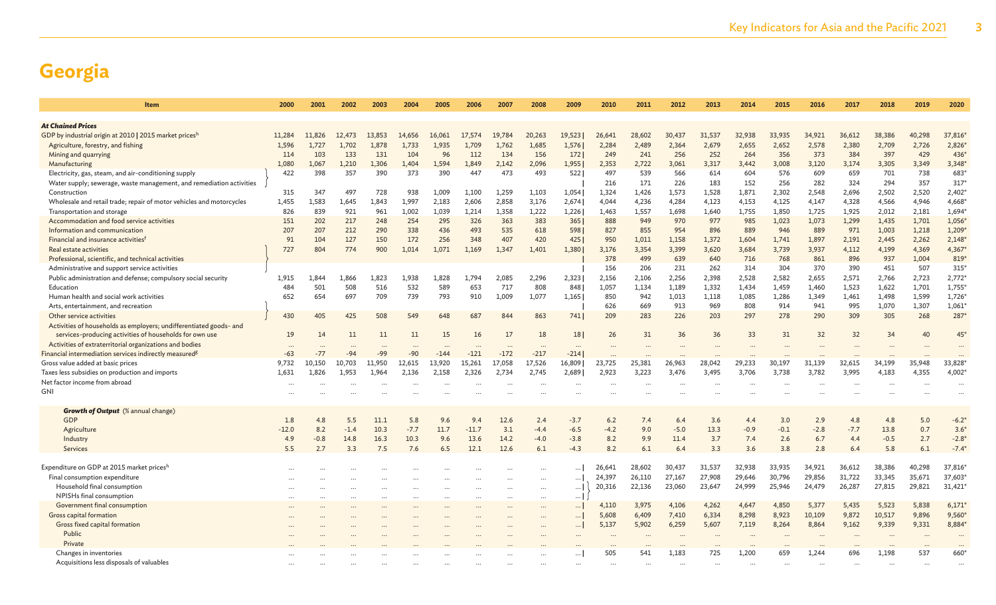| <b>Item</b>                                                          | 2000    | 2001   | 2002      | 2003   | 2004   | 2005     | 2006     | 2007      | 2008      | 2009            | 2010   | 2011   | 2012   | 2013   | 2014   | 2015   | 2016   | 2017   | 2018   | 2019   | 2020        |
|----------------------------------------------------------------------|---------|--------|-----------|--------|--------|----------|----------|-----------|-----------|-----------------|--------|--------|--------|--------|--------|--------|--------|--------|--------|--------|-------------|
| <b>At Chained Prices</b>                                             |         |        |           |        |        |          |          |           |           |                 |        |        |        |        |        |        |        |        |        |        |             |
| GDP by industrial origin at 2010   2015 market pricesh               | 11.284  | 11,826 | 12,473    | 13,853 | 14,656 | 16,061   | 17.574   | 19,784    | 20,263    | 19,523          | 26,641 | 28,602 | 30,437 | 31,537 | 32,938 | 33,935 | 34,921 | 36,612 | 38,386 | 40,298 | 37,816      |
| Agriculture, forestry, and fishing                                   | 1.596   | 1.727  | 1.702     | 1.878  | 1.733  | 1,935    | 1.709    | 1.762     | 1.685     | 1,576           | 2,284  | 2.489  | 2,364  | 2.679  | 2,655  | 2,652  | 2,578  | 2,380  | 2,709  | 2,726  | 2,826       |
| Mining and quarrying                                                 | 114     | 103    | 133       | 131    | 104    | 96       | 112      | 134       | 156       | 172             | 249    | 241    | 256    | 252    | 264    | 356    | 373    | 384    | 397    | 429    | 436         |
| Manufacturing                                                        | 1,080   | 1,067  | 1,210     | 1,306  | 1,404  | 1,594    | 1,849    | 2.142     | 2,096     | 1,955           | 2,353  | 2,722  | 3,061  | 3,317  | 3,442  | 3,008  | 3,120  | 3,174  | 3,305  | 3,349  | $3,348*$    |
| Electricity, gas, steam, and air-conditioning supply                 | 422     | 398    | 357       | 390    | 373    | 390      | 447      | 473       | 493       | 522             | 497    | 539    | 566    | 614    | 604    | 576    | 609    | 659    | 701    | 738    | 683         |
| Water supply; sewerage, waste management, and remediation activities |         |        |           |        |        |          |          |           |           |                 | 216    | 171    | 226    | 183    | 152    | 256    | 282    | 324    | 294    | 357    | 317         |
| Construction                                                         | 315     | 347    | 497       | 728    | 938    | 1,009    | 1,100    | 1,259     | 1,103     | 1,054           | 1,324  | 1,426  | 1,573  | 1,528  | 1,871  | 2,302  | 2,548  | 2,696  | 2,502  | 2,520  | 2,402       |
| Wholesale and retail trade; repair of motor vehicles and motorcycles | 1,455   | 1,583  | 1.645     | 1,843  | 1.997  | 2,183    | 2,606    | 2,858     | 3,176     | 2,674           | 4.044  | 4,236  | 4,284  | 4,123  | 4,153  | 4,125  | 4,147  | 4,328  | 4,566  | 4,946  | 4,668*      |
| Transportation and storage                                           | 826     | 839    | 921       | 961    | 1,002  | 1,039    | 1,214    | 1,358     | 1,222     | 1,226           | 1,463  | 1,557  | 1,698  | 1,640  | 1,755  | 1,850  | 1,725  | 1,925  | 2,012  | 2,181  | $1,694*$    |
| Accommodation and food service activities                            | 151     | 202    | 217       | 248    | 254    | 295      | 326      | 363       | 383       | 365             | 888    | 949    | 970    | 977    | 985    | 1,023  | 1,073  | 1,299  | 1,435  | 1,701  | 1,056       |
| Information and communication                                        | 207     | 207    | 212       | 290    | 338    | 436      | 493      | 535       | 618       | 598             | 827    | 855    | 954    | 896    | 889    | 946    | 889    | 971    | 1,003  | 1,218  | 1,209       |
| Financial and insurance activities <sup>f</sup>                      | 91      | 104    | 127       | 150    | 172    | 256      | 348      | 407       | 420       | 4251            | 950    | 1,011  | 1,158  | 1,372  | 1,604  | 1.741  | 1,897  | 2,191  | 2,445  | 2,262  | 2,148       |
| Real estate activities                                               | 727     | 804    | 774       | 900    | 1.014  | 1.071    | 1.169    | 1.347     | 1.401     | 1.380           | 3.176  | 3.354  | 3.399  | 3.620  | 3.684  | 3.739  | 3,937  | 4.112  | 4,199  | 4,369  | $4,367*$    |
| Professional, scientific, and technical activities                   |         |        |           |        |        |          |          |           |           |                 | 378    | 499    | 639    | 640    | 716    | 768    | 861    | 896    | 937    | 1,004  | 819*        |
| Administrative and support service activities                        |         |        |           |        |        |          |          |           |           |                 | 156    | 206    | 231    | 262    | 314    | 304    | 370    | 390    | 451    | 507    | 315'        |
| Public administration and defense; compulsory social security        | 1,915   | 1,844  | 1,866     | 1,823  | 1,938  | 1,828    | 1,794    | 2,085     | 2,296     | 2,323           | 2,156  | 2,106  | 2,256  | 2,398  | 2,528  | 2,582  | 2,655  | 2,571  | 2,766  | 2,723  | 2,772       |
| Education                                                            | 484     | 501    | 508       | 516    | 532    | 589      | 653      | 717       | 808       | 848 I           | 1,057  | 1.134  | 1,189  | 1,332  | 1.434  | 1.459  | 1,460  | 1,523  | 1,622  | 1,701  | 1,755       |
| Human health and social work activities                              | 652     | 654    | 697       | 709    | 739    | 793      | 910      | 1.009     | 1.077     | 1,165           | 850    | 942    | 1,013  | 1,118  | 1.085  | 1.286  | 1,349  | 1,461  | 1,498  | 1,599  | 1,726       |
| Arts, entertainment, and recreation                                  |         |        |           |        |        |          |          |           |           |                 | 626    | 669    | 913    | 969    | 808    | 914    | 941    | 995    | 1,070  | 1,307  | 1,061       |
| Other service activities                                             | 430     | 405    | 425       | 508    | 549    | 648      | 687      | 844       | 863       | $741$           | 209    | 283    | 226    | 203    | 297    | 278    | 290    | 309    | 305    | 268    | 287*        |
| Activities of households as employers; undifferentiated goods- and   |         |        |           |        |        |          |          |           |           |                 |        |        |        |        |        |        |        |        |        |        |             |
| services-producing activities of households for own use              | 19      | 14     | 11        | 11     | 11     | 15       | 16       | 17        | 18        | 18 <sup>1</sup> | 26     | 31     | 36     | 36     | 33     | 31     | 32     | 32     | 34     | 40     | $45*$       |
| Activities of extraterritorial organizations and bodies              |         |        |           |        |        |          |          |           | $\cdots$  |                 |        |        |        |        |        |        |        |        |        |        |             |
| Financial intermediation services indirectly measured <sup>g</sup>   | $-63$   | $-77$  | $-94$     | $-99$  | $-90$  | $-144$   | $-121$   | $-172$    | $-217$    | $-214$          |        |        |        |        |        |        |        |        |        |        |             |
| Gross value added at basic prices                                    | 9,732   | 10,150 | 10,703    | 11,950 | 12,615 | 13,920   | 15,261   | 17,058    | 17,526    | 16,809          | 23,725 | 25,381 | 26,963 | 28,042 | 29,233 | 30,197 | 31,139 | 32,615 | 34,199 | 35,948 | 33,828      |
| Taxes less subsidies on production and imports                       | 1,631   | 1,826  | 1,953     | 1,964  | 2,136  | 2,158    | 2,326    | 2,734     | 2,745     | 2,689           | 2,923  | 3,223  | 3,476  | 3,495  | 3,706  | 3,738  | 3,782  | 3,995  | 4,183  | 4,355  | 4,002       |
| Net factor income from abroad                                        |         |        |           |        |        |          |          |           |           |                 |        |        |        |        |        |        |        |        |        |        |             |
| <b>GNI</b>                                                           |         |        |           |        |        |          |          |           |           |                 |        |        |        |        |        |        |        |        |        |        |             |
|                                                                      |         |        |           |        |        |          |          |           |           |                 |        |        |        |        |        |        |        |        |        |        |             |
| <b>Growth of Output</b> (% annual change)                            |         |        |           |        |        |          |          |           |           |                 |        |        |        |        |        |        |        |        |        |        |             |
| GDP                                                                  | 1.8     | 4.8    | 5.5       | 11.1   | 5.8    | 9.6      | 9.4      | 12.6      | 2.4       | $-3.7$          | 6.2    | 7.4    | 6.4    | 3.6    | 4.4    | 3.0    | 2.9    | 4.8    | 4.8    | 5.0    | $-6.2*$     |
| Agriculture                                                          | $-12.0$ | 8.2    | $-1.4$    | 10.3   | $-7.7$ | 11.7     | $-11.7$  | 3.1       | $-4.4$    | $-6.5$          | $-4.2$ | 9.0    | $-5.0$ | 13.3   | $-0.9$ | $-0.1$ | $-2.8$ | $-7.7$ | 13.8   | 0.7    | $3.6^\circ$ |
| Industry                                                             | 4.9     | $-0.8$ | 14.8      | 16.3   | 10.3   | 9.6      | 13.6     | 14.2      | $-4.0$    | $-3.8$          | 8.2    | 9.9    | 11.4   | 3.7    | 7.4    | 2.6    | 6.7    | 4.4    | $-0.5$ | 2.7    | $-2.8*$     |
| Services                                                             | 5.5     | 2.7    | 3.3       | 7.5    | 7.6    | 6.5      | 12.1     | 12.6      | 6.1       | $-4.3$          | 8.2    | 6.1    | 6.4    | 3.3    | 3.6    | 3.8    | 2.8    | 6.4    | 5.8    | 6.1    | $-7.4$      |
|                                                                      |         |        |           |        |        |          |          |           |           |                 |        |        |        |        |        |        |        |        |        |        |             |
| Expenditure on GDP at 2015 market pricesh                            |         |        |           |        |        |          |          |           | $\ddotsc$ | 1               | 26,641 | 28,602 | 30,437 | 31,537 | 32,938 | 33,935 | 34,921 | 36,612 | 38,386 | 40,298 | 37,816*     |
| Final consumption expenditure                                        |         |        |           |        |        |          |          |           | $\cdots$  | 1               | 24,397 | 26,110 | 27,167 | 27,908 | 29,646 | 30,796 | 29,856 | 31,722 | 33,345 | 35,671 | 37,603      |
| Household final consumption                                          |         |        |           |        |        |          |          |           | $\cdots$  | $\ldots$        | 20,316 | 22,136 | 23,060 | 23,647 | 24,999 | 25,946 | 24,479 | 26,287 | 27,815 | 29,821 | 31,421      |
| NPISHs final consumption                                             |         |        | $\ddotsc$ |        |        | $\cdots$ | $\cdots$ | $\ddotsc$ | $\cdots$  | $\ldots$        |        |        |        |        |        |        |        |        |        |        |             |
| Government final consumption                                         |         |        |           |        |        |          |          |           |           | $\ldots$        | 4,110  | 3,975  | 4,106  | 4,262  | 4,647  | 4,850  | 5,377  | 5,435  | 5,523  | 5,838  | 6,171'      |
| Gross capital formation                                              |         |        |           |        |        |          |          |           |           |                 | 5,608  | 6,409  | 7,410  | 6,334  | 8,298  | 8,923  | 10,109 | 9,872  | 10,517 | 9,896  | $9,560*$    |
| Gross fixed capital formation                                        |         |        |           |        |        |          |          |           |           |                 | 5,137  | 5,902  | 6,259  | 5,607  | 7,119  | 8,264  | 8,864  | 9,162  | 9,339  | 9,331  | 8,884       |
| Public                                                               |         |        |           |        |        |          |          |           |           |                 |        |        |        |        |        |        |        |        |        |        |             |
| Private                                                              |         |        |           |        |        |          |          |           |           |                 |        |        |        |        |        |        |        |        |        |        |             |
| Changes in inventories                                               |         |        |           |        |        |          |          |           |           |                 | 505    | 541    | 1,183  | 725    | 1.200  | 659    | 1.244  | 696    | 1.198  | 537    | 660         |
| Acquisitions less disposals of valuables                             |         |        |           |        |        |          |          |           |           |                 |        |        |        |        |        |        |        |        |        |        |             |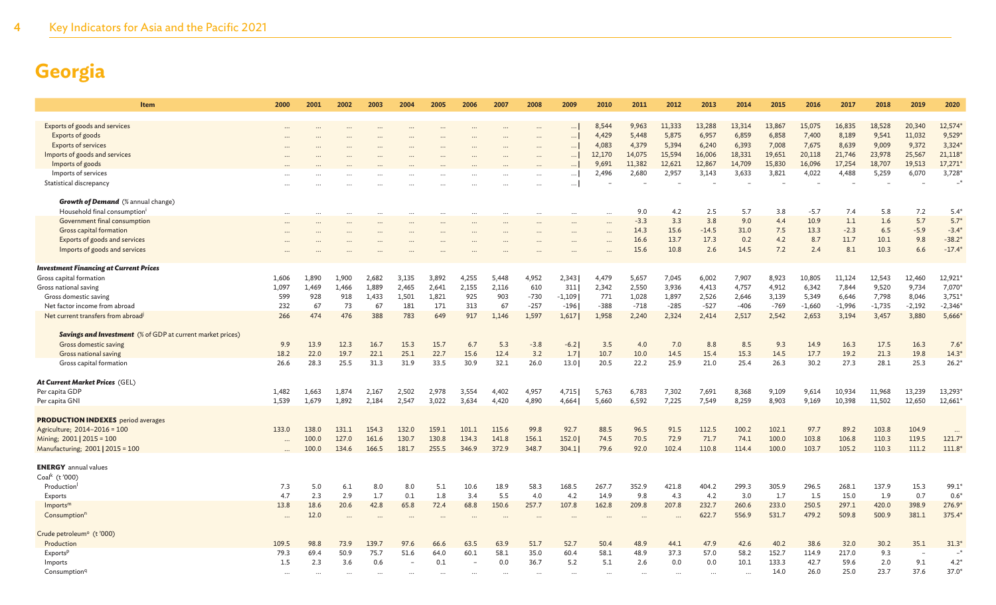4 Key Indicators for Asia and the Pacific 2021

| <b>Item</b>                                                       | 2000     | 2001           | 2002           | 2003           | 2004           | 2005           | 2006           | 2007           | 2008           | 2009          | 2010                 | 2011         | 2012         | 2013          | 2014          | 2015           | 2016          | 2017          | 2018           | 2019           | 2020              |
|-------------------------------------------------------------------|----------|----------------|----------------|----------------|----------------|----------------|----------------|----------------|----------------|---------------|----------------------|--------------|--------------|---------------|---------------|----------------|---------------|---------------|----------------|----------------|-------------------|
|                                                                   |          |                |                |                |                |                |                |                |                |               |                      |              |              |               |               |                |               |               |                |                |                   |
| Exports of goods and services                                     | $\cdots$ |                |                |                |                |                |                |                |                | $\cdots$      | 8,544                | 9,963        | 11,333       | 13,288        | 13,314        | 13,867         | 15,075        | 16,835        | 18,528         | 20,340         | 12,574*           |
| Exports of goods                                                  | $\cdots$ |                |                |                |                | $\cdots$       |                |                | $\cdots$       | $\cdots$      | 4,429                | 5,448        | 5,875        | 6,957         | 6,859         | 6,858          | 7,400         | 8,189         | 9,541          | 11,032         | 9,529             |
| <b>Exports of services</b>                                        |          |                |                |                |                |                |                |                | $\cdots$       | $\cdots$      | 4,083                | 4,379        | 5,394        | 6,240         | 6,393         | 7,008          | 7,675         | 8,639         | 9,009          | 9,372          | 3,324             |
| Imports of goods and services                                     |          |                |                |                |                |                |                |                | $\cdots$       | $\cdots$      | 12,170               | 14,075       | 15,594       | 16,006        | 18,331        | 19,651         | 20,118        | 21,746        | 23,978         | 25,567         | 21,118            |
| Imports of goods                                                  |          |                |                |                |                |                |                |                |                |               | 9,691                | 11,382       | 12,621       | 12,867        | 14,709        | 15,830         | 16,096        | 17,254        | 18,707         | 19,513         | 17,271            |
| Imports of services                                               |          |                |                |                |                |                |                |                | $\cdots$       | $\cdots$      | 2,496                | 2,680        | 2,957        | 3,143         | 3,633         | 3,821          | 4,022         | 4,488         | 5,259          | 6,070          | 3,728             |
| Statistical discrepancy                                           |          |                |                |                |                |                |                |                |                |               |                      |              |              |               |               |                |               |               |                |                | $-*$              |
|                                                                   |          |                |                |                |                |                |                |                |                |               |                      |              |              |               |               |                |               |               |                |                |                   |
| <b>Growth of Demand</b> (% annual change)                         |          |                |                |                |                |                |                |                |                |               |                      |              |              |               |               |                |               |               |                |                |                   |
| Household final consumptioni                                      | $\cdots$ |                |                |                |                |                |                |                | $\cdots$       |               | $\ddotsc$            | 9.0          | 4.2          | 2.5           | 5.7           | 3.8            | $-5.7$        | 7.4           | 5.8            | 7.2            | $5.4^{\circ}$     |
| Government final consumption                                      |          |                |                |                |                |                |                |                |                |               | $\ddotsc$            | $-3.3$       | 3.3          | 3.8           | 9.0           | 4.4            | 10.9          | 1.1           | 1.6            | 5.7            | $5.7*$            |
| Gross capital formation                                           |          |                |                |                |                |                |                |                |                | $\ddotsc$     | $\ddots$             | 14.3         | 15.6         | $-14.5$       | 31.0          | 7.5            | 13.3          | $-2.3$        | 6.5            | $-5.9$         | $-3.4$            |
| Exports of goods and services                                     |          |                |                |                |                |                |                |                |                |               | $\ddot{\phantom{a}}$ | 16.6         | 13.7         | 17.3          | 0.2           | 4.2            | 8.7           | 11.7          | 10.1           | 9.8            | $-38.2*$          |
| Imports of goods and services                                     |          |                |                |                |                |                |                |                |                |               | $\ddotsc$            | 15.6         | 10.8         | 2.6           | 14.5          | 7.2            | 2.4           | 8.1           | 10.3           | 6.6            | $-17.4*$          |
|                                                                   |          |                |                |                |                |                |                |                |                |               |                      |              |              |               |               |                |               |               |                |                |                   |
| <b>Investment Financing at Current Prices</b>                     |          |                |                |                |                |                |                |                |                |               |                      |              |              |               |               |                |               |               |                |                |                   |
| Gross capital formation                                           | 1,606    | 1,890          | 1,900          | 2,682          | 3,135          | 3,892          | 4,255          | 5,448          | 4,952          | 2,343         | 4,479                | 5,657        | 7,045        | 6,002         | 7,907         | 8,923          | 10,805        | 11,124        | 12,543         | 12,460         | 12,921            |
| Gross national saving                                             | 1,097    | 1,469          | 1,466          | 1,889          | 2,465          | 2,641          | 2,155          | 2,116          | 610            | 311           | 2,342                | 2,550        | 3,936        | 4,413         | 4,757         | 4,912          | 6,342         | 7,844         | 9,520          | 9,734          | 7,070             |
| Gross domestic saving                                             | 599      | 928            | 918            | 1,433          | 1,501          | 1,821          | 925            | 903            | $-730$         | $-1,109$      | 771                  | 1,028        | 1,897        | 2,526         | 2,646         | 3,139          | 5,349         | 6,646         | 7,798          | 8,046          | 3,751             |
| Net factor income from abroad                                     | 232      | 67             | 73             | 67             | 181            | 171            | 313            | 67             | $-257$         | $-196$        | $-388$               | $-718$       | $-285$       | $-527$        | $-406$        | $-769$         | $-1,660$      | $-1,996$      | $-1,735$       | $-2,192$       | $-2,346*$         |
| Net current transfers from abroad                                 | 266      | 474            | 476            | 388            | 783            | 649            | 917            | 1,146          | 1,597          | 1,617         | 1,958                | 2,240        | 2,324        | 2,414         | 2,517         | 2,542          | 2,653         | 3,194         | 3,457          | 3,880          | 5,666*            |
|                                                                   |          |                |                |                |                |                |                |                |                |               |                      |              |              |               |               |                |               |               |                |                |                   |
| <b>Savings and Investment</b> (% of GDP at current market prices) |          |                |                |                |                |                |                |                |                |               |                      |              |              |               |               |                |               |               |                |                |                   |
| Gross domestic saving                                             | 9.9      | 13.9           | 12.3           | 16.7           | 15.3           | 15.7           | 6.7            | 5.3            | $-3.8$         | $-6.2$        | 3.5                  | 4.0          | 7.0          | 8.8           | 8.5           | 9.3            | 14.9          | 16.3          | 17.5           | 16.3           | $7.6^{\circ}$     |
| Gross national saving                                             | 18.2     | 22.0           | 19.7           | 22.1           | 25.1           | 22.7           | 15.6           | 12.4           | 3.2            | 1.7           | 10.7                 | 10.0         | 14.5         | 15.4          | 15.3          | 14.5           | 17.7          | 19.2          | 21.3           | 19.8           | $14.3*$           |
| Gross capital formation                                           | 26.6     | 28.3           | 25.5           | 31.3           | 31.9           | 33.5           | 30.9           | 32.1           | 26.0           | 13.0          | 20.5                 | 22.2         | 25.9         | 21.0          | 25.4          | 26.3           | 30.2          | 27.3          | 28.1           | 25.3           | $26.2*$           |
|                                                                   |          |                |                |                |                |                |                |                |                |               |                      |              |              |               |               |                |               |               |                |                |                   |
| At Current Market Prices (GEL)                                    |          |                |                |                |                |                |                |                |                |               |                      |              |              |               |               |                |               |               |                |                |                   |
| Per capita GDP                                                    | 1,482    | 1,663          | 1,874          | 2,167          | 2,502          | 2,978          | 3,554          | 4,402          | 4,957          | 4,715         | 5,763                | 6,783        | 7,302        | 7,691         | 8,368         | 9,109          | 9,614         | 10,934        | 11,968         | 13,239         | 13,293*           |
| Per capita GNI                                                    | 1.539    | 1,679          | 1.892          | 2,184          | 2,547          | 3.022          | 3.634          | 4.420          | 4.890          | 4.664         | 5.660                | 6,592        | 7,225        | 7,549         | 8.259         | 8,903          | 9.169         | 10,398        | 11,502         | 12,650         | 12,661            |
|                                                                   |          |                |                |                |                |                |                |                |                |               |                      |              |              |               |               |                |               |               |                |                |                   |
| <b>PRODUCTION INDEXES</b> period averages                         |          |                |                |                |                |                |                |                |                |               |                      |              |              |               |               |                |               |               |                |                |                   |
| Agriculture; 2014-2016 = 100                                      | 133.0    | 138.0          | 131.1<br>127.0 | 154.3<br>161.6 | 132.0<br>130.7 | 159.1<br>130.8 | 101.1<br>134.3 | 115.6<br>141.8 | 99.8           | 92.7<br>152.0 | 88.5<br>74.5         | 96.5<br>70.5 | 91.5<br>72.9 | 112.5<br>71.7 | 100.2<br>74.1 | 102.1<br>100.0 | 97.7<br>103.8 | 89.2<br>106.8 | 103.8          | 104.9<br>119.5 | $\cdots$<br>121.7 |
| Mining; 2001   2015 = 100<br>Manufacturing; 2001   2015 = 100     |          | 100.0<br>100.0 | 134.6          | 166.5          | 181.7          | 255.5          | 346.9          | 372.9          | 156.1<br>348.7 | 304.1         | 79.6                 | 92.0         | 102.4        | 110.8         | 114.4         | 100.0          | 103.7         | 105.2         | 110.3<br>110.3 | 111.2          | $111.8*$          |
|                                                                   |          |                |                |                |                |                |                |                |                |               |                      |              |              |               |               |                |               |               |                |                |                   |
| <b>ENERGY</b> annual values                                       |          |                |                |                |                |                |                |                |                |               |                      |              |              |               |               |                |               |               |                |                |                   |
| Coal <sup>k</sup> (t'000)                                         |          |                |                |                |                |                |                |                |                |               |                      |              |              |               |               |                |               |               |                |                |                   |
| Production                                                        | 7.3      | 5.0            | 6.1            | 8.0            | 8.0            | 5.1            | 10.6           | 18.9           | 58.3           | 168.5         | 267.7                | 352.9        | 421.8        | 404.2         | 299.3         | 305.9          | 296.5         | 268.1         | 137.9          | 15.3           | 99.1              |
| Exports                                                           | 4.7      | 2.3            | 2.9            | 1.7            | 0.1            | 1.8            | 3.4            | 5.5            | 4.0            | 4.2           | 14.9                 | 9.8          | 4.3          | 4.2           | 3.0           | 1.7            | 1.5           | 15.0          | 1.9            | 0.7            | $0.6^{\circ}$     |
| Imports <sup>n</sup>                                              | 13.8     | 18.6           | 20.6           | 42.8           | 65.8           | 72.4           | 68.8           | 150.6          | 257.7          | 107.8         | 162.8                | 209.8        | 207.8        | 232.7         | 260.6         | 233.0          | 250.5         | 297.1         | 420.0          | 398.9          | 276.9             |
| Consumption <sup>n</sup>                                          | $\cdots$ | 12.0           |                |                |                |                |                |                | $\cdots$       | $\ddots$      |                      | $\ddotsc$    |              | 622.7         | 556.9         | 531.7          | 479.2         | 509.8         | 500.9          | 381.1          | 375.4*            |
|                                                                   |          |                |                |                |                |                |                |                |                |               |                      |              |              |               |               |                |               |               |                |                |                   |
| Crude petroleum <sup>o</sup> (t'000)                              |          |                |                |                |                |                |                |                |                |               |                      |              |              |               |               |                |               |               |                |                |                   |
| Production                                                        | 109.5    | 98.8           | 73.9           | 139.7          | 97.6           | 66.6           | 63.5           | 63.9           | 51.7           | 52.7          | 50.4                 | 48.9         | 44.1         | 47.9          | 42.6          | 40.2           | 38.6          | 32.0          | 30.2           | 35.1           | $31.3*$           |
| Exports <sup>p</sup>                                              | 79.3     | 69.4           | 50.9           | 75.7           | 51.6           | 64.0           | 60.1           | 58.1           | 35.0           | 60.4          | 58.1                 | 48.9         | 37.3         | 57.0          | 58.2          | 152.7          | 114.9         | 217.0         | 9.3            | ÷,             |                   |
| Imports                                                           | 1.5      | 2.3            | 3.6            | 0.6            |                | 0.1            |                | 0.0            | 36.7           | 5.2           | 5.1                  | 2.6          | 0.0          | 0.0           | 10.1          | 133.3          | 42.7          | 59.6          | 2.0            | 9.1            | $4.2^{\circ}$     |
| Consumption <sup>q</sup>                                          |          |                |                |                |                |                |                |                |                |               |                      |              |              |               |               | 14.0           | 26.0          | 25.0          | 23.7           | 37.6           | 37.0              |
|                                                                   |          |                |                |                |                |                |                |                |                |               |                      |              |              |               |               |                |               |               |                |                |                   |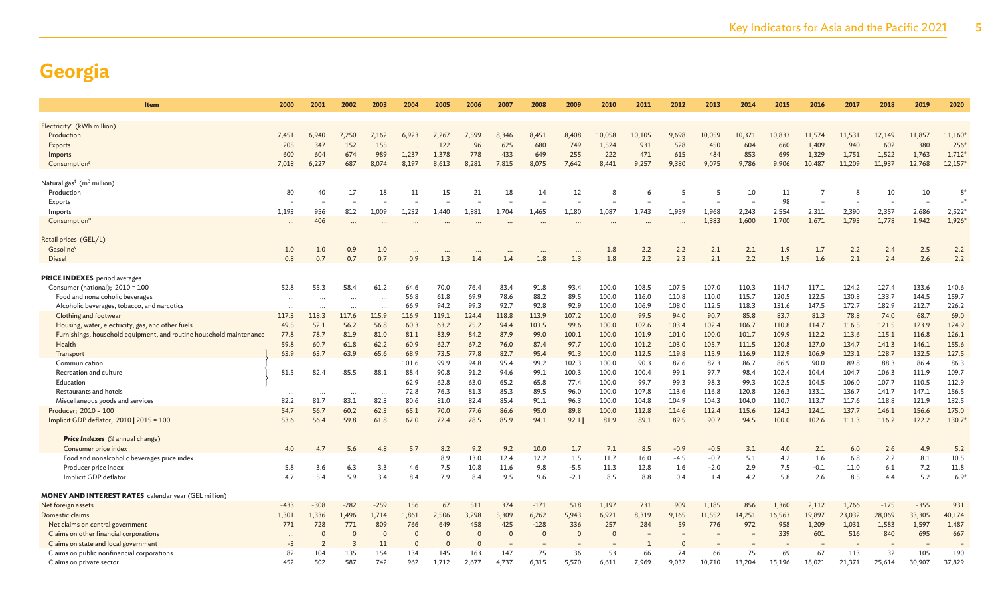| <b>Item</b>                                                         | 2000      | 2001     | 2002                 | 2003      | 2004      | 2005     | 2006     | 2007     | 2008     | 2009     | 2010     | 2011   | 2012   | 2013   | 2014   | 2015   | 2016   | 2017   | 2018   | 2019   | 2020        |
|---------------------------------------------------------------------|-----------|----------|----------------------|-----------|-----------|----------|----------|----------|----------|----------|----------|--------|--------|--------|--------|--------|--------|--------|--------|--------|-------------|
|                                                                     |           |          |                      |           |           |          |          |          |          |          |          |        |        |        |        |        |        |        |        |        |             |
| Electricity <sup>r</sup> (kWh million)                              |           |          |                      |           |           |          |          |          |          |          |          |        |        |        |        |        |        |        |        |        |             |
| Production                                                          | 7,451     | 6.940    | 7,250                | 7,162     | 6,923     | 7,267    | 7,599    | 8,346    | 8,451    | 8,408    | 10,058   | 10,105 | 9,698  | 10,059 | 10,371 | 10,833 | 11,574 | 11,531 | 12,149 | 11,857 | 11,160      |
| Exports                                                             | 205       | 347      | 152                  | 155       |           | 122      | 96       | 625      | 680      | 749      | 1,524    | 931    | 528    | 450    | 604    | 660    | 1,409  | 940    | 602    | 380    | 256         |
| Imports                                                             | 600       | 604      | 674                  | 989       | 1,237     | 1,378    | 778      | 433      | 649      | 255      | 222      | 471    | 615    | 484    | 853    | 699    | 1,329  | 1,751  | 1,522  | 1,763  | 1,712       |
| Consumption <sup>s</sup>                                            | 7,018     | 6,227    | 687                  | 8,074     | 8,197     | 8,613    | 8,281    | 7,815    | 8,075    | 7,642    | 8,441    | 9,257  | 9,380  | 9,075  | 9,786  | 9,906  | 10,487 | 11,209 | 11,937 | 12,768 | 12,157'     |
| Natural gas <sup>t</sup> ( $m3$ million)                            |           |          |                      |           |           |          |          |          |          |          |          |        |        |        |        |        |        |        |        |        |             |
| Production                                                          | 80        | 40       | 17                   | 18        | 11        | 15       | 21       | 18       | 14       | 12       | 8        | -6     |        | 5      | 10     | 11     | -7     |        | 10     | 10     | $8^{\circ}$ |
| Exports                                                             |           |          |                      |           |           |          |          |          |          |          |          |        |        |        |        | 98     |        |        |        |        |             |
| Imports                                                             | 1,193     | 956      | 812                  | 1,009     | 1,232     | 1,440    | 1,881    | 1,704    | 1,465    | 1,180    | 1,087    | 1,743  | 1,959  | 1,968  | 2,243  | 2,554  | 2,311  | 2,390  | 2,357  | 2,686  | 2,522'      |
| Consumption <sup>u</sup>                                            |           | 406      |                      |           |           |          |          |          | $\cdots$ |          |          |        |        | 1,383  | 1,600  | 1,700  | 1,671  | 1,793  | 1,778  | 1,942  | $1,926*$    |
| Retail prices (GEL/L)                                               |           |          |                      |           |           |          |          |          |          |          |          |        |        |        |        |        |        |        |        |        |             |
| Gasoline'                                                           | 1.0       | 1.0      | 0.9                  | 1.0       | $\ddotsc$ | $\cdots$ |          | $\cdots$ | $\cdots$ | $\cdots$ | 1.8      | 2.2    | 2.2    | 2.1    | 2.1    | 1.9    | 1.7    | 2.2    | 2.4    | 2.5    | 2.2         |
| <b>Diesel</b>                                                       | 0.8       | 0.7      | 0.7                  | 0.7       | 0.9       | 1.3      | 1.4      | 1.4      | 1.8      | 1.3      | 1.8      | 2.2    | 2.3    | 2.1    | 2.2    | 1.9    | 1.6    | 2.1    | 2.4    | 2.6    | 2.2         |
|                                                                     |           |          |                      |           |           |          |          |          |          |          |          |        |        |        |        |        |        |        |        |        |             |
| <b>PRICE INDEXES</b> period averages                                |           |          |                      |           |           |          |          |          |          |          |          |        |        |        |        |        |        |        |        |        |             |
| Consumer (national); 2010 = 100                                     | 52.8      | 55.3     | 58.4                 | 61.2      | 64.6      | 70.0     | 76.4     | 83.4     | 91.8     | 93.4     | 100.0    | 108.5  | 107.5  | 107.0  | 110.3  | 114.7  | 117.1  | 124.2  | 127.4  | 133.6  | 140.6       |
| Food and nonalcoholic beverages                                     | $\ddotsc$ |          |                      |           | 56.8      | 61.8     | 69.9     | 78.6     | 88.2     | 89.5     | 100.0    | 116.0  | 110.8  | 110.0  | 115.7  | 120.5  | 122.5  | 130.8  | 133.7  | 144.5  | 159.7       |
| Alcoholic beverages, tobacco, and narcotics                         |           |          |                      |           | 66.9      | 94.2     | 99.3     | 92.7     | 92.8     | 92.9     | 100.0    | 106.9  | 108.0  | 112.5  | 118.3  | 131.6  | 147.5  | 172.7  | 182.9  | 212.7  | 226.2       |
| Clothing and footwear                                               | 117.3     | 118.3    | 117.6                | 115.9     | 116.9     | 119.1    | 124.4    | 118.8    | 113.9    | 107.2    | 100.0    | 99.5   | 94.0   | 90.7   | 85.8   | 83.7   | 81.3   | 78.8   | 74.0   | 68.7   | 69.0        |
| Housing, water, electricity, gas, and other fuels                   | 49.5      | 52.1     | 56.2                 | 56.8      | 60.3      | 63.2     | 75.2     | 94.4     | 103.5    | 99.6     | 100.0    | 102.6  | 103.4  | 102.4  | 106.7  | 110.8  | 114.7  | 116.5  | 121.5  | 123.9  | 124.9       |
| Furnishings, household equipment, and routine household maintenance | 77.8      | 78.7     | 81.9                 | 81.0      | 81.1      | 83.9     | 84.2     | 87.9     | 99.0     | 100.1    | 100.0    | 101.9  | 101.0  | 100.0  | 101.7  | 109.9  | 112.2  | 113.6  | 115.1  | 116.8  | 126.1       |
| Health                                                              | 59.8      | 60.7     | 61.8                 | 62.2      | 60.9      | 62.7     | 67.2     | 76.0     | 87.4     | 97.7     | 100.0    | 101.2  | 103.0  | 105.7  | 111.5  | 120.8  | 127.0  | 134.7  | 141.3  | 146.1  | 155.6       |
| Transport                                                           | 63.9      | 63.7     | 63.9                 | 65.6      | 68.9      | 73.5     | 77.8     | 82.7     | 95.4     | 91.3     | 100.0    | 112.5  | 119.8  | 115.9  | 116.9  | 112.9  | 106.9  | 123.1  | 128.7  | 132.5  | 127.5       |
| Communication                                                       |           |          |                      |           | 101.6     | 99.9     | 94.8     | 95.4     | 99.2     | 102.3    | 100.0    | 90.3   | 87.6   | 87.3   | 86.7   | 86.9   | 90.0   | 89.8   | 88.3   | 86.4   | 86.3        |
| Recreation and culture                                              | 81.5      | 82.4     | 85.5                 | 88.1      | 88.4      | 90.8     | 91.2     | 94.6     | 99.1     | 100.3    | 100.0    | 100.4  | 99.1   | 97.7   | 98.4   | 102.4  | 104.4  | 104.7  | 106.3  | 111.9  | 109.7       |
| Education                                                           |           |          |                      |           | 62.9      | 62.8     | 63.0     | 65.2     | 65.8     | 77.4     | 100.0    | 99.7   | 99.3   | 98.3   | 99.3   | 102.5  | 104.5  | 106.0  | 107.7  | 110.5  | 112.9       |
| Restaurants and hotels                                              |           | $\ddots$ | $\ddot{\phantom{0}}$ | $\cdots$  | 72.8      | 76.3     | 81.3     | 85.3     | 89.5     | 96.0     | 100.0    | 107.8  | 113.6  | 116.8  | 120.8  | 126.3  | 133.1  | 136.7  | 141.7  | 147.1  | 156.5       |
| Miscellaneous goods and services                                    | 82.2      | 81.7     | 83.1                 | 82.3      | 80.6      | 81.0     | 82.4     | 85.4     | 91.1     | 96.3     | 100.0    | 104.8  | 104.9  | 104.3  | 104.0  | 110.7  | 113.7  | 117.6  | 118.8  | 121.9  | 132.5       |
| Producer; 2010 = 100                                                | 54.7      | 56.7     | 60.2                 | 62.3      | 65.1      | 70.0     | 77.6     | 86.6     | 95.0     | 89.8     | 100.0    | 112.8  | 114.6  | 112.4  | 115.6  | 124.2  | 124.1  | 137.7  | 146.1  | 156.6  | 175.0       |
| Implicit GDP deflator; 2010   2015 = 100                            | 53.6      | 56.4     | 59.8                 | 61.8      | 67.0      | 72.4     | 78.5     | 85.9     | 94.1     | 92.1     | 81.9     | 89.1   | 89.5   | 90.7   | 94.5   | 100.0  | 102.6  | 111.3  | 116.2  | 122.2  | 130.7       |
| <b>Price Indexes</b> (% annual change)                              |           |          |                      |           |           |          |          |          |          |          |          |        |        |        |        |        |        |        |        |        |             |
| Consumer price index                                                | 4.0       | 4.7      | 5.6                  | 4.8       | 5.7       | 8.2      | 9.2      | 9.2      | 10.0     | 1.7      | 7.1      | 8.5    | $-0.9$ | $-0.5$ | 3.1    | 4.0    | 2.1    | 6.0    | 2.6    | 4.9    | 5.2         |
| Food and nonalcoholic beverages price index                         | $\cdots$  |          | $\cdots$             | $\ddotsc$ | $\cdots$  | 8.9      | 13.0     | 12.4     | 12.2     | 1.5      | 11.7     | 16.0   | $-4.5$ | $-0.7$ | 5.1    | 4.2    | 1.6    | 6.8    | 2.2    | 8.1    | 10.5        |
| Producer price index                                                | 5.8       | 3.6      | 6.3                  | 3.3       | 4.6       | 7.5      | 10.8     | 11.6     | 9.8      | $-5.5$   | 11.3     | 12.8   | 1.6    | $-2.0$ | 2.9    | 7.5    | $-0.1$ | 11.0   | 6.1    | 7.2    | 11.8        |
| Implicit GDP deflator                                               | 4.7       | 5.4      | 5.9                  | 3.4       | 8.4       | 7.9      | 8.4      | 9.5      | 9.6      | $-2.1$   | 8.5      | 8.8    | 0.4    | 1.4    | 4.2    | 5.8    | 2.6    | 8.5    | 4.4    | 5.2    | $6.9*$      |
| <b>MONEY AND INTEREST RATES</b> calendar year (GEL million)         |           |          |                      |           |           |          |          |          |          |          |          |        |        |        |        |        |        |        |        |        |             |
| Net foreign assets                                                  | $-433$    | $-308$   | $-282$               | $-259$    | 156       | 67       | 511      | 374      | $-171$   | 518      | 1,197    | 731    | 909    | 1,185  | 856    | 1,360  | 2,112  | 1,766  | $-175$ | $-355$ | 931         |
| Domestic claims                                                     | 1,301     | 1,336    | 1,496                | 1,714     | 1,861     | 2,506    | 3,298    | 5,309    | 6,262    | 5,943    | 6,921    | 8,319  | 9,165  | 11,552 | 14,251 | 16,563 | 19,897 | 23,032 | 28,069 | 33,305 | 40,174      |
| Net claims on central government                                    | 771       | 728      | 771                  | 809       | 766       | 649      | 458      | 425      | $-128$   | 336      | 257      | 284    | 59     | 776    | 972    | 958    | 1,209  | 1,031  | 1,583  | 1,597  | 1,487       |
| Claims on other financial corporations                              |           | $\Omega$ |                      | $\Omega$  | $\Omega$  | $\Omega$ | $\Omega$ | $\Omega$ | $\Omega$ | $\Omega$ | $\Omega$ |        |        |        |        | 339    | 601    | 516    | 840    | 695    | 667         |
| Claims on state and local government                                | $-3$      |          |                      | 11        | $\Omega$  | $\Omega$ | $\Omega$ |          |          |          |          |        |        |        |        |        |        |        |        |        |             |
| Claims on public nonfinancial corporations                          | 82        | 104      | 135                  | 154       | 134       | 145      | 163      | 147      | 75       | 36       | 53       | 66     | 74     | 66     | 75     | 69     | 67     | 113    | 32     | 105    | 190         |
| Claims on private sector                                            | 452       | 502      | 587                  | 742       | 962       | 1,712    | 2,677    | 4,737    | 6,315    | 5,570    | 6,611    | 7,969  | 9,032  | 10,710 | 13,204 | 15,196 | 18,021 | 21,371 | 25,614 | 30,907 | 37,829      |
|                                                                     |           |          |                      |           |           |          |          |          |          |          |          |        |        |        |        |        |        |        |        |        |             |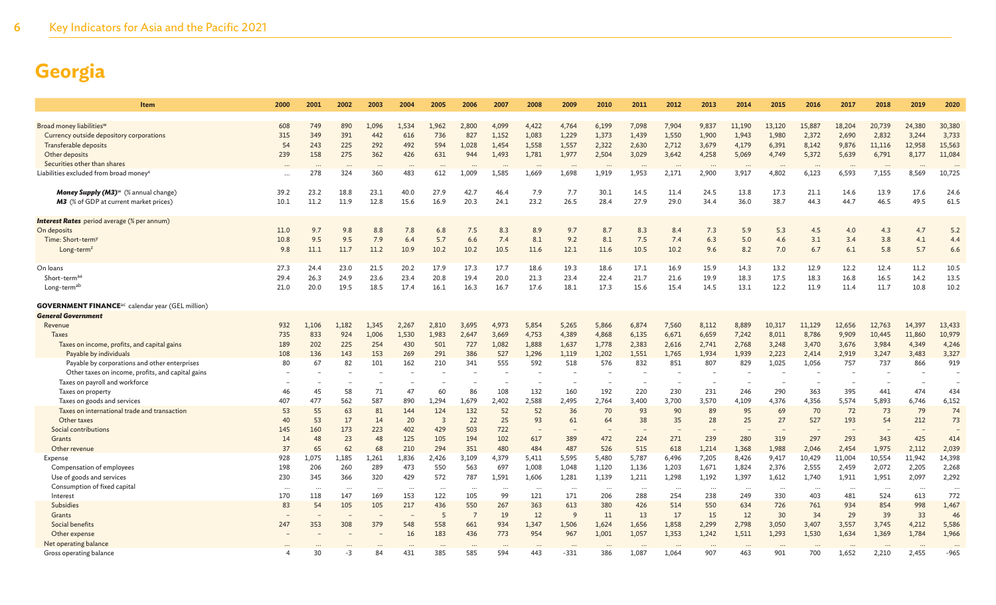| Item                                                                             | 2000            | 2001            | 2002            | 2003             | 2004         | 2005            | 2006           | 2007           | 2008                     | 2009            | 2010           | 2011            | 2012            | 2013              | 2014              | 2015            | 2016            | 2017            | 2018               | 2019            | 2020             |
|----------------------------------------------------------------------------------|-----------------|-----------------|-----------------|------------------|--------------|-----------------|----------------|----------------|--------------------------|-----------------|----------------|-----------------|-----------------|-------------------|-------------------|-----------------|-----------------|-----------------|--------------------|-----------------|------------------|
|                                                                                  |                 |                 |                 |                  |              |                 |                |                |                          |                 |                |                 |                 |                   |                   |                 |                 |                 |                    |                 |                  |
| Broad money liabilities <sup>w</sup><br>Currency outside depository corporations | 608<br>315      | 749<br>349      | 890<br>391      | 1,096<br>442     | 1,534<br>616 | 1,962<br>736    | 2,800<br>827   | 4,099<br>1,152 | 4,422<br>1,083           | 4,764<br>1,229  | 6,199<br>1,373 | 7,098<br>1,439  | 7,904<br>1,550  | 9,837<br>1,900    | 11,190<br>1,943   | 13,120<br>1,980 | 15,887<br>2,372 | 18,204<br>2,690 | 20,739<br>2,832    | 24,380<br>3,244 | 30,380<br>3,733  |
|                                                                                  | 54              |                 | 225             | 292              | 492          | 594             | 1,028          |                |                          |                 |                |                 |                 |                   |                   |                 |                 |                 |                    |                 |                  |
| Transferable deposits<br>Other deposits                                          | 239             | 243<br>158      | 275             | 362              | 426          | 631             | 944            | 1,454<br>1,493 | 1,558<br>1,781           | 1,557<br>1,977  | 2,322<br>2,504 | 2,630<br>3,029  | 2,712<br>3,642  | 3,679<br>4,258    | 4,179<br>5,069    | 6,391<br>4,749  | 8,142<br>5,372  | 9,876<br>5,639  | 11,116<br>6,791    | 12,958<br>8,177 | 15,563<br>11,084 |
| Securities other than shares                                                     |                 |                 |                 |                  |              |                 |                |                |                          |                 |                |                 |                 |                   |                   |                 |                 |                 |                    |                 |                  |
| Liabilities excluded from broad money                                            |                 | 278             | 324             | 360              | 483          | 612             | 1,009          | 1,585          | $\cdots$<br>1,669        | 1,698           | 1,919          | 1,953           | 2,171           | $\cdots$<br>2,900 | $\cdots$<br>3,917 | 4,802           | 6,123           | 6,593           | $\ddotsc$<br>7,155 | 8,569           | 10,725           |
|                                                                                  | $\ddotsc$       |                 |                 |                  |              |                 |                |                |                          |                 |                |                 |                 |                   |                   |                 |                 |                 |                    |                 |                  |
| Money Supply (M3) <sup>w</sup> (% annual change)                                 | 39.2            | 23.2            | 18.8            | 23.1             | 40.0         | 27.9            | 42.7           | 46.4           | 7.9                      | 7.7             | 30.1           | 14.5            | 11.4            | 24.5              | 13.8              | 17.3            | 21.1            | 14.6            | 13.9               | 17.6            | 24.6             |
| M3 (% of GDP at current market prices)                                           | 10.1            | 11.2            | 11.9            | 12.8             | 15.6         | 16.9            | 20.3           | 24.1           | 23.2                     | 26.5            | 28.4           | 27.9            | 29.0            | 34.4              | 36.0              | 38.7            | 44.3            | 44.7            | 46.5               | 49.5            | 61.5             |
|                                                                                  |                 |                 |                 |                  |              |                 |                |                |                          |                 |                |                 |                 |                   |                   |                 |                 |                 |                    |                 |                  |
| <b>Interest Rates</b> period average (% per annum)<br>On deposits                | 11.0            | 9.7             | 9.8             | 8.8              | 7.8          | 6.8             | 7.5            | 8.3            | 8.9                      | 9.7             | 8.7            | 8.3             | 8.4             | 7.3               | 5.9               | 5.3             | 4.5             | 4.0             | 4.3                | 4.7             | 5.2              |
| Time: Short-term <sup>y</sup>                                                    | 10.8            | 9.5             | 9.5             | 7.9              | 6.4          | 5.7             | 6.6            | 7.4            | 8.1                      | 9.2             | 8.1            | 7.5             | 7.4             | 6.3               | 5.0               | 4.6             | 3.1             | 3.4             | 3.8                | 4.1             | 4.4              |
| Long-term <sup>z</sup>                                                           | 9.8             | 11.1            | 11.7            | 11.2             | 10.9         | 10.2            | 10.2           | 10.5           | 11.6                     | 12.1            | 11.6           | 10.5            | 10.2            | 9.6               | 8.2               | 7.0             | 6.7             | 6.1             | 5.8                | 5.7             | 6.6              |
|                                                                                  |                 |                 |                 |                  |              |                 |                |                |                          |                 |                |                 |                 |                   |                   |                 |                 |                 |                    |                 |                  |
| On loans                                                                         | 27.3            | 24.4            | 23.0            | 21.5             | 20.2         | 17.9            | 17.3           | 17.7           | 18.6                     | 19.3            | 18.6           | 17.1            | 16.9            | 15.9              | 14.3              | 13.2            | 12.9            | 12.2            | 12.4               | 11.2            | 10.5             |
| Short-termaa                                                                     | 29.4            | 26.3            | 24.9            | 23.6             | 23.4         | 20.8            | 19.4           | 20.0           | 21.3                     | 23.4            | 22.4           | 21.7            | 21.6            | 19.9              | 18.3              | 17.5            | 18.3            | 16.8            | 16.5               | 14.2            | 13.5             |
| Long-term <sup>ab</sup>                                                          | 21.0            | 20.0            | 19.5            | 18.5             | 17.4         | 16.1            | 16.3           | 16.7           | 17.6                     | 18.1            | 17.3           | 15.6            | 15.4            | 14.5              | 13.1              | 12.2            | 11.9            | 11.4            | 11.7               | 10.8            | 10.2             |
| <b>GOVERNMENT FINANCE</b> <sup>ac</sup> calendar year (GEL million)              |                 |                 |                 |                  |              |                 |                |                |                          |                 |                |                 |                 |                   |                   |                 |                 |                 |                    |                 |                  |
| <b>General Government</b>                                                        |                 |                 |                 |                  |              |                 |                |                |                          |                 |                |                 |                 |                   |                   |                 |                 |                 |                    |                 |                  |
| Revenue                                                                          | 932             | 1,106           | 1.182           | 1.345            | 2,267        | 2,810           | 3,695          | 4,973          | 5,854                    | 5,265           | 5,866          | 6,874           | 7,560           | 8,112             | 8,889             | 10,317          | 11,129          | 12,656          | 12,763             | 14,397          | 13,433           |
| Taxes                                                                            | 735             | 833             | 924             | 1,006            | 1,530        | 1,983           | 2,647          | 3,669          | 4,753                    | 4,389           | 4,868          | 6,135           | 6,671           | 6,659             | 7,242             | 8,011           | 8,786           | 9,909           | 10,445             | 11,860          | 10,979           |
| Taxes on income, profits, and capital gains                                      | 189             | 202             | 225             | 254              | 430          | 501             | 727            | 1,082          | 1,888                    | 1,637           | 1,778          | 2,383           | 2,616           | 2,741             | 2,768             | 3,248           | 3,470           | 3,676           | 3,984              | 4,349           | 4,246            |
| Payable by individuals                                                           | 108             | 136             | 143             | 153              | 269          | 291             | 386            | 527            | 1,296                    | 1,119           | 1,202          | 1,551           | 1,765           | 1,934             | 1,939             | 2,223           | 2,414           | 2,919           | 3,247              | 3,483           | 3,327            |
| Payable by corporations and other enterprises                                    | 80              | 67              | 82              | 101              | 162          | 210             | 341            | 555            | 592                      | 518             | 576            | 832             | 851             | 807               | 829               | 1,025           | 1,056           | 757             | 737                | 866             | 919              |
| Other taxes on income, profits, and capital gains                                |                 |                 |                 |                  |              |                 |                |                |                          |                 |                |                 |                 |                   |                   |                 |                 |                 |                    |                 |                  |
| Taxes on payroll and workforce                                                   |                 |                 |                 |                  |              |                 |                |                | $\overline{\phantom{a}}$ |                 |                |                 |                 | ٠                 |                   |                 |                 |                 |                    |                 |                  |
| Taxes on property                                                                | 46              | 45              | 58              | 71               | 47           | 60              | 86             | 108            | 132                      | 160             | 192            | 220             | 230             | 231               | 246               | 290             | 363             | 395             | 441                | 474             | 434              |
| Taxes on goods and services                                                      | 407             | 477             | 562             | 587              | 890          | 1,294           | 1,679          | 2,402          | 2,588                    | 2,495           | 2,764          | 3,400           | 3,700           | 3,570             | 4,109             | 4,376           | 4,356           | 5,574           | 5,893              | 6,746           | 6,152            |
| Taxes on international trade and transaction                                     | 53              | 55              | 63              | 81               | 144          | 124             | 132            | 52             | 52                       | 36              | 70             | 93              | 90              | 89                | 95                | 69              | 70              | 72              | 73                 | 79              | 74               |
| Other taxes                                                                      | 40              | 53              | 17              | 14               | 20           | $\overline{3}$  | 22             | 25             | 93                       | 61              | 64             | 38              | 35              | 28                | 25                | 27              | 527             | 193             | 54                 | 212             | 73               |
| Social contributions                                                             | 145             | 160             | 173             | 223              | 402          | 429             | 503            | 722            | $\overline{\phantom{a}}$ |                 |                |                 |                 |                   |                   |                 |                 |                 |                    |                 |                  |
| Grants                                                                           | 14              | 48              | 23              | 48               | 125          | 105             | 194            | 102            | 617                      | 389             | 472            | 224             | 271             | 239               | 280               | 319             | 297             | 293             | 343                | 425             | 414              |
| Other revenue                                                                    | 37              | 65              | 62              | 68               | 210          | 294             | 351            | 480            | 484                      | 487             | 526            | 515             | 618             | 1,214             | 1,368             | 1,988           | 2,046           | 2,454           | 1,975              | 2,112           | 2,039            |
| Expense                                                                          | 928             | 1,075           | 1,185           | 1,261            | 1,836        | 2,426           | 3,109          | 4,379          | 5,411                    | 5,595           | 5,480          | 5,787           | 6,496           | 7,205             | 8,426             | 9,417           | 10,429          | 11,004          | 10,554             | 11,942          | 14,398           |
| Compensation of employees                                                        | 198             | 206             | 260             | 289              | 473          | 550<br>572      | 563            | 697            | 1,008                    | 1,048           | 1,120          | 1,136           | 1,203           | 1,671             | 1,824             | 2,376           | 2,555           | 2,459           | 2,072              | 2,205           | 2,268<br>2,292   |
| Use of goods and services<br>Consumption of fixed capital                        | 230             | 345             | 366             | 320              | 429          |                 | 787            | 1,591          | 1,606                    | 1,281           | 1,139          | 1,211           | 1,298           | 1,192             | 1,397             | 1,612           | 1,740           | 1,911           | 1,951              | 2,097           |                  |
| Interest                                                                         | $\cdots$<br>170 | $\cdots$<br>118 | $\cdots$<br>147 | $\ddotsc$<br>169 | <br>153      | $\cdots$<br>122 | <br>105        | 99             | $\cdots$<br>121          | $\cdots$<br>171 | .<br>206       | $\cdots$<br>288 | $\cdots$<br>254 | $\cdots$<br>238   | <br>249           | $\cdots$<br>330 | $\cdots$<br>403 | $\cdots$<br>481 | .<br>524           | $\ddots$<br>613 | $\cdots$<br>772  |
| Subsidies                                                                        | 83              | 54              | 105             | 105              | 217          | 436             | 550            | 267            | 363                      | 613             | 380            | 426             | 514             | 550               | 634               | 726             | 761             | 934             | 854                | 998             | 1,467            |
| Grants                                                                           |                 |                 |                 |                  |              | 5               | $\overline{7}$ | 19             | 12                       | 9               | 11             | 13              | 17              | 15                | 12                | 30              | 34              | 29              | 39                 | 33              | 46               |
| Social benefits                                                                  | 247             | 353             | 308             | 379              | 548          | 558             | 661            | 934            | 1,347                    | 1,506           | 1,624          | 1,656           | 1,858           | 2,299             | 2,798             | 3,050           | 3,407           | 3,557           | 3,745              | 4,212           | 5,586            |
| Other expense                                                                    |                 |                 |                 |                  | 16           | 183             | 436            | 773            | 954                      | 967             | 1,001          | 1,057           | 1,353           | 1,242             | 1,511             | 1,293           | 1,530           | 1,634           | 1,369              | 1,784           | 1,966            |
| Net operating balance                                                            |                 |                 |                 |                  |              |                 |                |                |                          |                 |                |                 |                 |                   |                   |                 |                 |                 |                    |                 |                  |
| Gross operating balance                                                          |                 | 30              | -3              | 84               | 431          | 385             | 585            | 594            | 443                      | $-331$          | 386            | 1,087           | 1,064           | 907               | 463               | 901             | 700             | 1,652           | 2,210              | 2,455           | $-965$           |
|                                                                                  |                 |                 |                 |                  |              |                 |                |                |                          |                 |                |                 |                 |                   |                   |                 |                 |                 |                    |                 |                  |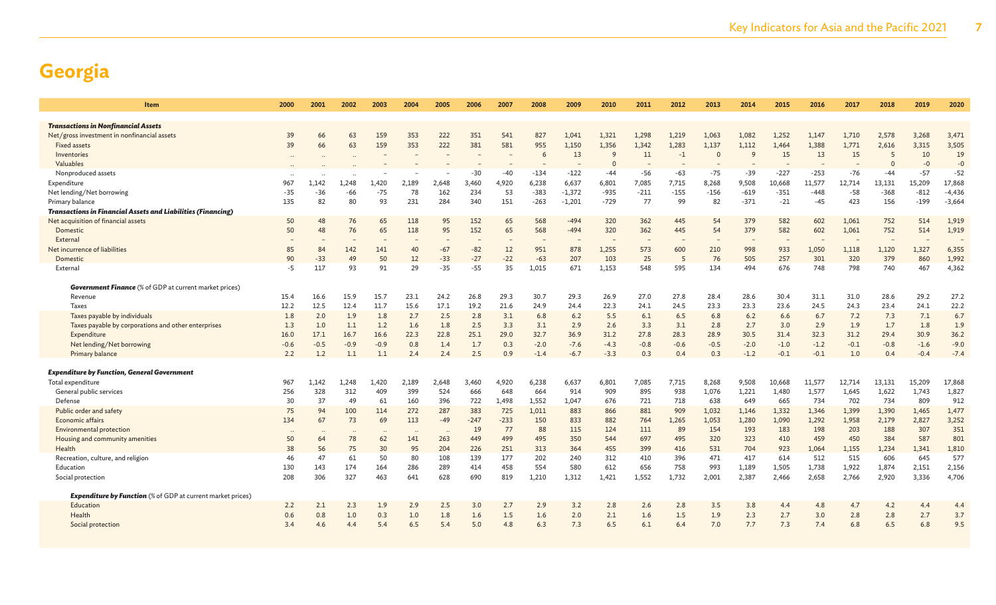| Item                                                                | 2000           | 2001            | 2002            | 2003            | 2004         | 2005             | 2006         | 2007         | 2008            | 2009            | 2010         | 2011           | 2012           | 2013           | 2014         | 2015             | 2016             | 2017            | 2018            | 2019            | 2020            |
|---------------------------------------------------------------------|----------------|-----------------|-----------------|-----------------|--------------|------------------|--------------|--------------|-----------------|-----------------|--------------|----------------|----------------|----------------|--------------|------------------|------------------|-----------------|-----------------|-----------------|-----------------|
|                                                                     |                |                 |                 |                 |              |                  |              |              |                 |                 |              |                |                |                |              |                  |                  |                 |                 |                 |                 |
| <b>Transactions in Nonfinancial Assets</b>                          |                |                 |                 |                 |              |                  |              |              |                 |                 |              |                |                |                |              |                  |                  |                 |                 |                 |                 |
| Net/gross investment in nonfinancial assets                         | 39             | 66              | 63              | 159             | 353          | 222              | 351          | 541          | 827             | 1.041           | 1,321        | 1,298          | 1,219          | 1,063          | 1,082        | 1,252            | 1,147            | 1,710           | 2,578           | 3,268           | 3,471           |
| <b>Fixed assets</b>                                                 | 39             | 66              | 63              | 159             | 353          | 222              | 381          | 581          | 955             | 1,150           | 1,356        | 1,342          | 1,283          | 1,137          | 1,112        | 1.464            | 1,388            | 1,771           | 2,616           | 3,315           | 3,505           |
| Inventories                                                         | $\cdot$ .      |                 |                 |                 |              |                  |              |              | 6               | 13              | <sup>9</sup> | 11             | $-1$           | $\Omega$       | 9            | 15               | 13               | 15              | 5               | 10              | 19              |
| Valuables                                                           |                |                 |                 |                 |              |                  |              |              |                 |                 | $\Omega$     |                |                |                |              |                  |                  |                 | $\overline{0}$  | $-0$            | $-0$            |
| Nonproduced assets<br>Expenditure                                   | 967            | 1,142           | 1.248           | 1,420           | 2,189        | 2,648            | -30<br>3,460 | -40<br>4,920 | $-134$<br>6,238 | $-122$<br>6,637 | -44<br>6,801 | $-56$<br>7,085 | $-63$<br>7,715 | $-75$<br>8,268 | -39<br>9,508 | $-227$<br>10,668 | $-253$<br>11,577 | $-76$<br>12,714 | $-44$<br>13,131 | $-57$<br>15,209 | $-52$<br>17,868 |
| Net lending/Net borrowing                                           | $-35$          | $-36$           | -66             | $-75$           | 78           | 162              | 234          | 53           | $-383$          | $-1,372$        | $-935$       | $-211$         | $-155$         | $-156$         | $-619$       | $-351$           | $-448$           | $-58$           | $-368$          | $-812$          | $-4,436$        |
| Primary balance                                                     | 135            | 82              | 80              | 93              | 231          | 284              | 340          | 151          | $-263$          | $-1,201$        | $-729$       | 77             | 99             | 82             | $-371$       | $-21$            | $-45$            | 423             | 156             | $-199$          | $-3,664$        |
| <b>Transactions in Financial Assets and Liabilities (Financing)</b> |                |                 |                 |                 |              |                  |              |              |                 |                 |              |                |                |                |              |                  |                  |                 |                 |                 |                 |
| Net acquisition of financial assets                                 | 50             | 48              | 76              | 65              | 118          | 95               | 152          | 65           | 568             | $-494$          | 320          | 362            | 445            | 54             | 379          | 582              | 602              | 1,061           | 752             | 514             | 1,919           |
| Domestic                                                            | 50             | 48              | 76              | 65              | 118          | 95               | 152          | 65           | 568             | $-494$          | 320          | 362            | 445            | 54             | 379          | 582              | 602              | 1,061           | 752             | 514             | 1,919           |
| External                                                            |                |                 |                 |                 |              |                  |              |              |                 |                 |              |                |                |                |              |                  |                  |                 |                 |                 |                 |
| Net incurrence of liabilities                                       | 85             | 84              | 142             | 141             | 40           | $-67$            | $-82$        | 12           | 951             | 878             | 1,255        | 573            | 600            | 210            | 998          | 933              | 1,050            | 1,118           | 1,120           | 1,327           | 6,355           |
| Domestic                                                            | 90             | $-33$           | 49              | 50              | 12           | $-33$            | $-27$        | $-22$        | $-63$           | 207             | 103          | 25             | 5              | 76             | 505          | 257              | 301              | 320             | 379             | 860             | 1,992           |
| External                                                            | -5             | 117             | 93              | 91              | 29           | $-35$            | $-55$        | 35           | 1.015           | 671             | 1,153        | 548            | 595            | 134            | 494          | 676              | 748              | 798             | 740             | 467             | 4,362           |
|                                                                     |                |                 |                 |                 |              |                  |              |              |                 |                 |              |                |                |                |              |                  |                  |                 |                 |                 |                 |
| <b>Government Finance</b> (% of GDP at current market prices)       |                |                 |                 |                 |              |                  |              |              |                 |                 |              |                |                |                |              |                  |                  |                 |                 |                 |                 |
| Revenue                                                             | 15.4           | 16.6            | 15.9            | 15.7            | 23.1         | 24.2             | 26.8         | 29.3         | 30.7            | 29.3            | 26.9         | 27.0           | 27.8           | 28.4           | 28.6         | 30.4             | 31.1             | 31.0            | 28.6            | 29.2            | 27.2            |
| <b>Taxes</b>                                                        | 12.2           | 12.5            | 12.4            | 11.7            | 15.6         | 17.1             | 19.2         | 21.6         | 24.9            | 24.4            | 22.3         | 24.1           | 24.5           | 23.3           | 23.3         | 23.6             | 24.5             | 24.3            | 23.4            | 24.1            | 22.2            |
| Taxes payable by individuals                                        | 1.8            | 2.0             | 1.9             | 1.8             | 2.7          | 2.5              | 2.8          | 3.1          | 6.8             | 6.2             | 5.5          | 6.1            | 6.5            | 6.8            | 6.2          | 6.6              | 6.7              | 7.2             | 7.3             | 7.1             | 6.7             |
| Taxes payable by corporations and other enterprises                 | 1.3            | 1.0             | 1.1             | 1.2             | 1.6          | 1.8              | 2.5          | 3.3          | 3.1             | 2.9             | 2.6          | 3.3            | 3.1            | 2.8            | 2.7          | 3.0              | 2.9              | 1.9             | 1.7             | 1.8             | 1.9             |
| Expenditure                                                         | 16.0           | 17.1            | 16.7            | 16.6            | 22.3         | 22.8             | 25.1         | 29.0         | 32.7            | 36.9            | 31.2         | 27.8           | 28.3           | 28.9           | 30.5         | 31.4             | 32.3             | 31.2            | 29.4            | 30.9            | 36.2            |
| Net lending/Net borrowing                                           | $-0.6$         | $-0.5$          | $-0.9$          | $-0.9$          | 0.8          | 1.4              | 1.7          | 0.3          | $-2.0$          | $-7.6$          | $-4.3$       | $-0.8$         | $-0.6$         | $-0.5$         | $-2.0$       | $-1.0$           | $-1.2$           | $-0.1$          | $-0.8$          | $-1.6$          | $-9.0$          |
| Primary balance                                                     | 2.2            | 1.2             | 1.1             | 1.1             | 2.4          | 2.4              | 2.5          | 0.9          | $-1.4$          | $-6.7$          | $-3.3$       | 0.3            | 0.4            | 0.3            | $-1.2$       | $-0.1$           | $-0.1$           | 1.0             | 0.4             | $-0.4$          | $-7.4$          |
|                                                                     |                |                 |                 |                 |              |                  |              |              |                 |                 |              |                |                |                |              |                  |                  |                 |                 |                 |                 |
| <b>Expenditure by Function, General Government</b>                  |                |                 |                 |                 |              |                  |              |              |                 |                 |              |                |                |                |              |                  |                  |                 |                 |                 |                 |
| Total expenditure<br>General public services                        | 967<br>256     | 1,142<br>328    | 1,248           | 1,420<br>409    | 2,189<br>399 | 2,648<br>524     | 3,460<br>666 | 4,920<br>648 | 6,238<br>664    | 6,637<br>914    | 6,801<br>909 | 7,085<br>895   | 7,715<br>938   | 8,268          | 9,508        | 10,668           | 11,577           | 12,714          | 13,131          | 15,209          | 17,868<br>1,827 |
| Defense                                                             | 30             | 37              | 312<br>49       | 61              | 160          | 396              | 722          | 1,498        | 1,552           | 1,047           | 676          | 721            | 718            | 1,076<br>638   | 1,221<br>649 | 1,480<br>665     | 1,577<br>734     | 1,645<br>702    | 1,622<br>734    | 1,743<br>809    | 912             |
| Public order and safety                                             | 75             | 94              | 100             | 114             | 272          | 287              | 383          | 725          | 1,011           | 883             | 866          | 881            | 909            | 1,032          | 1,146        | 1,332            | 1,346            | 1,399           | 1,390           | 1,465           | 1,477           |
| Economic affairs                                                    | 134            | 67              | 73              | 69              | 113          | $-49$            | $-247$       | $-233$       | 150             | 833             | 882          | 764            | 1,265          | 1,053          | 1,280        | 1,090            | 1,292            | 1,958           | 2,179           | 2,827           | 3,252           |
| <b>Environmental protection</b>                                     |                |                 |                 |                 |              |                  | 19           | 77           | 88              | 115             | 124          | 111            | 89             | 154            | 193          | 183              | 198              | 203             | 188             | 307             | 351             |
| Housing and community amenities                                     | $\cdots$<br>50 | $\cdot$ .<br>64 | $\cdot$ .<br>78 | $\cdot$ .<br>62 | 141          | $\cdot$ .<br>263 | 449          | 499          | 495             | 350             | 544          | 697            | 495            | 320            | 323          | 410              | 459              | 450             | 384             | 587             | 801             |
| Health                                                              | 38             | 56              | 75              | 30              | 95           | 204              | 226          | 251          | 313             | 364             | 455          | 399            | 416            | 531            | 704          | 923              | 1,064            | 1,155           | 1,234           | 1,341           | 1,810           |
| Recreation, culture, and religion                                   | 46             | 47              | 61              | 50              | 80           | 108              | 139          | 177          | 202             | 240             | 312          | 410            | 396            | 471            | 417          | 614              | 512              | 515             | 606             | 645             | 577             |
| Education                                                           | 130            | 143             | 174             | 164             | 286          | 289              | 414          | 458          | 554             | 580             | 612          | 656            | 758            | 993            | 1,189        | 1,505            | 1,738            | 1,922           | 1,874           | 2,151           | 2,156           |
| Social protection                                                   | 208            | 306             | 327             | 463             | 641          | 628              | 690          | 819          | 1.210           | 1.312           | 1.421        | 1,552          | 1.732          | 2.001          | 2,387        | 2,466            | 2,658            | 2,766           | 2,920           | 3,336           | 4,706           |
|                                                                     |                |                 |                 |                 |              |                  |              |              |                 |                 |              |                |                |                |              |                  |                  |                 |                 |                 |                 |
| <b>Expenditure by Function</b> (% of GDP at current market prices)  |                |                 |                 |                 |              |                  |              |              |                 |                 |              |                |                |                |              |                  |                  |                 |                 |                 |                 |
| Education                                                           | 2.2            | 2.1             | 2.3             | 1.9             | 2.9          | 2.5              | 3.0          | 2.7          | 2.9             | 3.2             | 2.8          | 2.6            | 2.8            | 3.5            | 3.8          | 4.4              | 4.8              | 4.7             | 4.2             | 4.4             | 4.4             |
| Health                                                              | 0.6            | 0.8             | 1.0             | 0.3             | 1.0          | 1.8              | 1.6          | 1.5          | 1.6             | 2.0             | 2.1          | 1.6            | 1.5            | 1.9            | 2.3          | 2.7              | 3.0              | 2.8             | 2.8             | 2.7             | 3.7             |
| Social protection                                                   | 3.4            | 4.6             | 4.4             | 5.4             | 6.5          | 5.4              | 5.0          | 4.8          | 6.3             | 7.3             | 6.5          | 6.1            | 6.4            | 7.0            | 7.7          | 7.3              | 7.4              | 6.8             | 6.5             | 6.8             | 9.5             |
|                                                                     |                |                 |                 |                 |              |                  |              |              |                 |                 |              |                |                |                |              |                  |                  |                 |                 |                 |                 |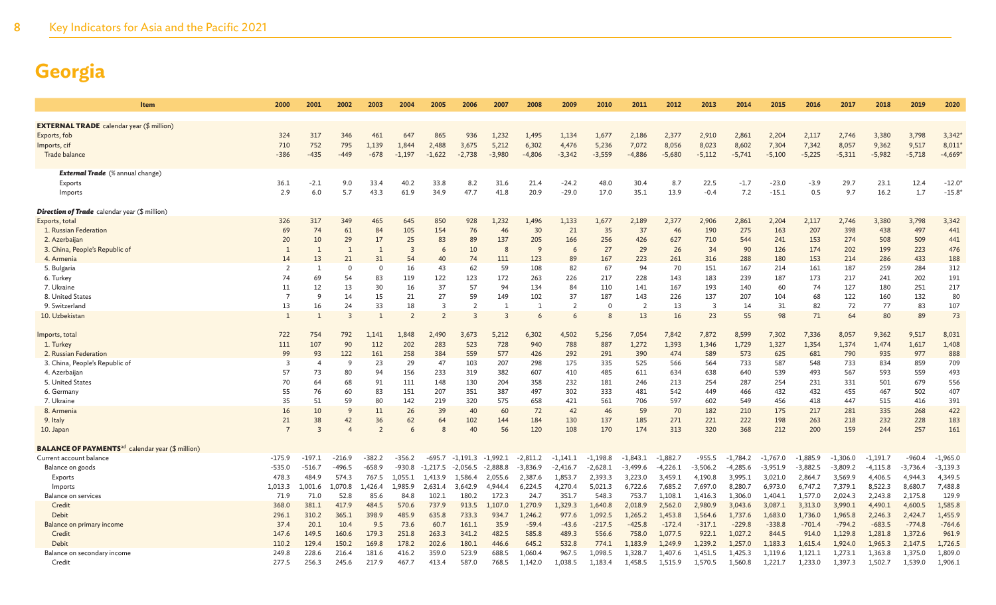| <b>Item</b>                                                         | 2000           | 2001           | 2002           | 2003           | 2004           | 2005           | 2006                    | 2007                    | 2008         | 2009           | 2010       | 2011           | 2012       | 2013           | 2014       | 2015       | 2016       | 2017       | 2018       | 2019       | 2020       |
|---------------------------------------------------------------------|----------------|----------------|----------------|----------------|----------------|----------------|-------------------------|-------------------------|--------------|----------------|------------|----------------|------------|----------------|------------|------------|------------|------------|------------|------------|------------|
| <b>EXTERNAL TRADE</b> calendar year (\$ million)                    |                |                |                |                |                |                |                         |                         |              |                |            |                |            |                |            |            |            |            |            |            |            |
| Exports, fob                                                        | 324            | 317            | 346            | 461            | 647            | 865            | 936                     | 1,232                   | 1,495        | 1,134          | 1,677      | 2,186          | 2,377      | 2,910          | 2,861      | 2,204      | 2,117      | 2,746      | 3,380      | 3,798      | 3,342      |
| Imports, cif                                                        | 710            | 752            | 795            | 1,139          | 1,844          | 2,488          | 3,675                   | 5,212                   | 6,302        | 4,476          | 5,236      | 7,072          | 8,056      | 8,023          | 8,602      | 7,304      | 7,342      | 8,057      | 9.362      | 9,517      | 8,011      |
| Trade balance                                                       | $-386$         | $-435$         | $-449$         | $-678$         | $-1,197$       | $-1,622$       | $-2,738$                | $-3,980$                | $-4,806$     | $-3,342$       | $-3,559$   | $-4,886$       | $-5,680$   | $-5,112$       | $-5,741$   | $-5,100$   | $-5,225$   | $-5,311$   | $-5,982$   | $-5,718$   | $-4,669'$  |
|                                                                     |                |                |                |                |                |                |                         |                         |              |                |            |                |            |                |            |            |            |            |            |            |            |
| <b>External Trade</b> (% annual change)                             |                |                |                |                |                |                |                         |                         |              |                |            |                |            |                |            |            |            |            |            |            |            |
| Exports                                                             | 36.1           | $-2.1$         | 9.0            | 33.4           | 40.2           | 33.8           | 8.2                     | 31.6                    | 21.4         | $-24.2$        | 48.0       | 30.4           | 8.7        | 22.5           | $-1.7$     | $-23.0$    | $-3.9$     | 29.7       | 23.1       | 12.4       | $-12.0$    |
| Imports                                                             | 2.9            | 6.0            | 5.7            | 43.3           | 61.9           | 34.9           | 47.7                    | 41.8                    | 20.9         | $-29.0$        | 17.0       | 35.1           | 13.9       | $-0.4$         | 7.2        | $-15.1$    | 0.5        | 9.7        | 16.2       | 1.7        | $-15.8$    |
| <b>Direction of Trade</b> calendar year (\$ million)                |                |                |                |                |                |                |                         |                         |              |                |            |                |            |                |            |            |            |            |            |            |            |
| Exports, total                                                      | 326            | 317            | 349            | 465            | 645            | 850            | 928                     | 1,232                   | 1,496        | 1,133          | 1,677      | 2,189          | 2,377      | 2,906          | 2,861      | 2,204      | 2,117      | 2,746      | 3,380      | 3,798      | 3,342      |
| 1. Russian Federation                                               | 69             | 74             | 61             | 84             | 105            | 154            | 76                      | 46                      | 30           | 21             | 35         | 37             | 46         | 190            | 275        | 163        | 207        | 398        | 438        | 497        | 441        |
| 2. Azerbaijan                                                       | 20             | 10             | 29             | 17             | 25             | 83             | 89                      | 137                     | 205          | 166            | 256        | 426            | 627        | 710            | 544        | 241        | 153        | 274        | 508        | 509        | 441        |
| 3. China, People's Republic of                                      | -1             | $\overline{1}$ | $\overline{1}$ | $\mathbf{1}$   | 3              | 6              | 10                      | $\mathcal{R}$           | $\mathsf{q}$ | 6              | 27         | 29             | 26         | 34             | 90         | 126        | 174        | 202        | 199        | 223        | 476        |
| 4. Armenia                                                          | 14             | 13             | 21             | 31             | 54             | 40             | 74                      | 111                     | 123          | 89             | 167        | 223            | 261        | 316            | 288        | 180        | 153        | 214        | 286        | 433        | 188        |
| 5. Bulgaria                                                         | 2              | -1             | $\Omega$       | $\Omega$       | 16             | 43             | 62                      | 59                      | 108          | 82             | 67         | 94             | 70         | 151            | 167        | 214        | 161        | 187        | 259        | 284        | 312        |
| 6. Turkey                                                           | 74             | 69             | 54             | 83             | 119            | 122            | 123                     | 172                     | 263          | 226            | 217        | 228            | 143        | 183            | 239        | 187        | 173        | 217        | 241        | 202        | 191        |
| 7. Ukraine                                                          | 11             | 12             | 13             | 30             | 16             | 37             | 57                      | 94                      | 134          | 84             | 110        | 141            | 167        | 193            | 140        | 60         | 74         | 127        | 180        | 251        | 217        |
| 8. United States                                                    | $\overline{7}$ | <sup>Q</sup>   | 14             | 15             | 21             | 27             | 59                      | 149                     | 102          | 37             | 187        | 143            | 226        | 137            | 207        | 104        | 68         | 122        | 160        | 132        | 80         |
| 9. Switzerland                                                      | 13             | 16             | 24             | 33             | 18             | 3              | $\overline{2}$          | 1                       | 1            | $\overline{2}$ | $\Omega$   | $\overline{2}$ | 13         | $\overline{3}$ | 14         | 31         | 82         | 72         | 77         | 83         | 107        |
| 10. Uzbekistan                                                      | $\overline{1}$ |                | $\overline{3}$ |                | $\overline{2}$ | $\overline{2}$ | $\overline{\mathbf{3}}$ | $\overline{\mathbf{3}}$ | 6            | 6              | 8          | 13             | 16         | 23             | 55         | 98         | 71         | 64         | 80         | 89         | 73         |
| Imports, total                                                      | 722            | 754            | 792            | 1.141          | 1,848          | 2,490          | 3.673                   | 5.212                   | 6.302        | 4,502          | 5,256      | 7,054          | 7,842      | 7.872          | 8,599      | 7,302      | 7,336      | 8,057      | 9,362      | 9,517      | 8,031      |
| 1. Turkey                                                           | 111            | 107            | 90             | 112            | 202            | 283            | 523                     | 728                     | 940          | 788            | 887        | 1,272          | 1,393      | 1,346          | 1,729      | 1,327      | 1,354      | 1,374      | 1,474      | 1,617      | 1,408      |
| 2. Russian Federation                                               | 99             | 93             | 122            | 161            | 258            | 384            | 559                     | 577                     | 426          | 292            | 291        | 390            | 474        | 589            | 573        | 625        | 681        | 790        | 935        | 977        | 888        |
| 3. China, People's Republic of                                      | 3              | -4             | <sup>9</sup>   | 23             | 29             | 47             | 103                     | 207                     | 298          | 175            | 335        | 525            | 566        | 564            | 733        | 587        | 548        | 733        | 834        | 859        | 709        |
| 4. Azerbaijan                                                       | 57             | 73             | 80             | 94             | 156            | 233            | 319                     | 382                     | 607          | 410            | 485        | 611            | 634        | 638            | 640        | 539        | 493        | 567        | 593        | 559        | 493        |
| 5. United States                                                    | 70             | 64             | 68             | 91             | 111            | 148            | 130                     | 204                     | 358          | 232            | 181        | 246            | 213        | 254            | 287        | 254        | 231        | 331        | 501        | 679        | 556        |
| 6. Germany                                                          | 55             | 76             | 60             | 83             | 151            | 207            | 351                     | 387                     | 497          | 302            | 333        | 481            | 542        | 449            | 466        | 432        | 432        | 455        | 467        | 502        | 407        |
| 7. Ukraine                                                          | 35             | 51             | 59             | 80             | 142            | 219            | 320                     | 575                     | 658          | 421            | 561        | 706            | 597        | 602            | 549        | 456        | 418        | 447        | 515        | 416        | 391        |
| 8. Armenia                                                          | 16             | 10             | 9              | 11             | 26             | 39             | 40                      | 60                      | 72           | 42             | 46         | 59             | 70         | 182            | 210        | 175        | 217        | 281        | 335        | 268        | 422        |
| 9. Italy                                                            | 21             | 38             | 42             | 36             | 62             | 64             | 102                     | 144                     | 184          | 130            | 137        | 185            | 271        | 221            | 222        | 198        | 263        | 218        | 232        | 228        | 183        |
| 10. Japan                                                           | $\overline{7}$ | $\overline{3}$ |                | $\overline{z}$ | 6              | 8              | 40                      | 56                      | 120          | 108            | 170        | 174            | 313        | 320            | 368        | 212        | 200        | 159        | 244        | 257        | 161        |
| <b>BALANCE OF PAYMENTS</b> <sup>ad</sup> calendar year (\$ million) |                |                |                |                |                |                |                         |                         |              |                |            |                |            |                |            |            |            |            |            |            |            |
| Current account balance                                             | $-175.9$       | $-197.1$       | $-216.9$       | $-382.2$       | $-356.2$       | $-695.7$       | $-1.191.3$              | $-1.992.1$              | $-2,811.2$   | $-1.141.1$     | $-1.198.8$ | $-1.843.1$     | $-1.882.7$ | $-955.5$       | $-1.784.2$ | $-1.767.0$ | $-1.885.9$ | $-1.306.0$ | $-1.191.7$ | $-960.4$   | $-1,965.0$ |
| Balance on goods                                                    | $-535.0$       | $-516.7$       | $-496.5$       | $-658.9$       | $-930.8$       | $-1,217.5$     | $-2,056.5$              | $-2,888.8$              | $-3,836.9$   | $-2,416.7$     | $-2,628.1$ | $-3,499.6$     | $-4,226.1$ | $-3,506.2$     | $-4,285.6$ | $-3,951.9$ | $-3,882.5$ | $-3,809.2$ | $-4,115.8$ | $-3,736.4$ | $-3,139.3$ |
| Exports                                                             | 478.3          | 484.9          | 574.3          | 767.5          | 1,055.1        | 1.413.9        | 1,586.4                 | 2,055.6                 | 2,387.6      | 1,853.7        | 2,393.3    | 3,223.0        | 3,459.1    | 4,190.8        | 3,995.1    | 3,021.0    | 2,864.7    | 3,569.9    | 4,406.5    | 4.944.3    | 4,349.5    |
| Imports                                                             | 1,013.3        | 1,001.6        | 1.070.8        | .426.4         | 1,985.9        | 2,631.4        | 3,642.9                 | 4.944.4                 | 6.224.5      | 4,270.4        | 5,021.3    | 6,722.6        | 7,685.2    | 7,697.0        | 8,280.7    | 6,973.0    | 6,747.2    | 7,379.1    | 8,522.3    | 8,680.7    | 7,488.8    |
| Balance on services                                                 | 71.9           | 71.0           | 52.8           | 85.6           | 84.8           | 102.1          | 180.2                   | 172.3                   | 24.7         | 351.7          | 548.3      | 753.7          | 1,108.     | 1,416.3        | 1,306.0    | 1,404.1    | 1,577.0    | 2,024.3    | 2,243.8    | 2,175.8    | 129.9      |
| Credit                                                              | 368.0          | 381.1          | 417.9          | 484.5          | 570.6          | 737.9          | 913.5                   | 1.107.0                 | 1,270.9      | 1.329.3        | 1.640.8    | 2,018.9        | 2,562.0    | 2.980.9        | 3.043.6    | 3.087.1    | 3,313.0    | 3.990.1    | 4,490.1    | 4,600.5    | 1,585.8    |
| Debit                                                               | 296.1          | 310.2          | 365.1          | 398.9          | 485.9          | 635.8          | 733.3                   | 934.7                   | 1,246.2      | 977.6          | 1,092.5    | 1,265.2        | 1,453.8    | 1,564.6        | 1,737.6    | 1,683.0    | 1,736.0    | 1,965.8    | 2,246.3    | 2,424.7    | 1,455.9    |
| Balance on primary income                                           | 37.4           | 20.1           | 10.4           | 9.5            | 73.6           | 60.7           | 161.1                   | 35.9                    | $-59.4$      | $-43.6$        | $-217.5$   | $-425.8$       | $-172.4$   | $-317.1$       | $-229.8$   | $-338.8$   | $-701.4$   | $-794.2$   | $-683.5$   | $-774.8$   | $-764.6$   |
| Credit                                                              | 147.6          | 149.5          | 160.6          | 179.3          | 251.8          | 263.3          | 341.2                   | 482.5                   | 585.8        | 489.3          | 556.6      | 758.0          | 1.077.5    | 922.1          | 1.027.2    | 844.5      | 914.0      | 1.129.8    | 1.281.8    | 1.372.6    | 961.9      |
| Debit                                                               | 110.2          | 129.4          | 150.2          | 169.8          | 178.2          | 202.6          | 180.1                   | 446.6                   | 645.2        | 532.8          | 774.1      | 1,183.9        | 1,249.9    | 1,239.2        | 1,257.0    | 1,183.3    | 1,615.4    | 1,924.0    | 1,965.3    | 2,147.5    | 1,726.5    |
| Balance on secondary income                                         | 249.8          | 228.6          | 216.4          | 181.6          | 416.2          | 359.0          | 523.9                   | 688.5                   | 1.060.4      | 967.5          | 1,098.5    | 1,328.7        | 1,407.6    | 1,451.5        | 1.425.3    | 1,119.6    | 1,121.1    | 1,273.1    | 1,363.8    | 1,375.0    | 1,809.0    |
| Credit                                                              | 277.5          | 256.3          | 245.6          | 217.9          | 467.7          | 413.4          | 587.0                   | 768.5                   | 1,142.0      | 1,038.5        | 1,183.4    | 1,458.5        | 1,515.9    | 1,570.5        | 1,560.8    | 1,221.7    | 1,233.0    | 1,397.3    | 1,502.7    | 1,539.0    | 1,906.1    |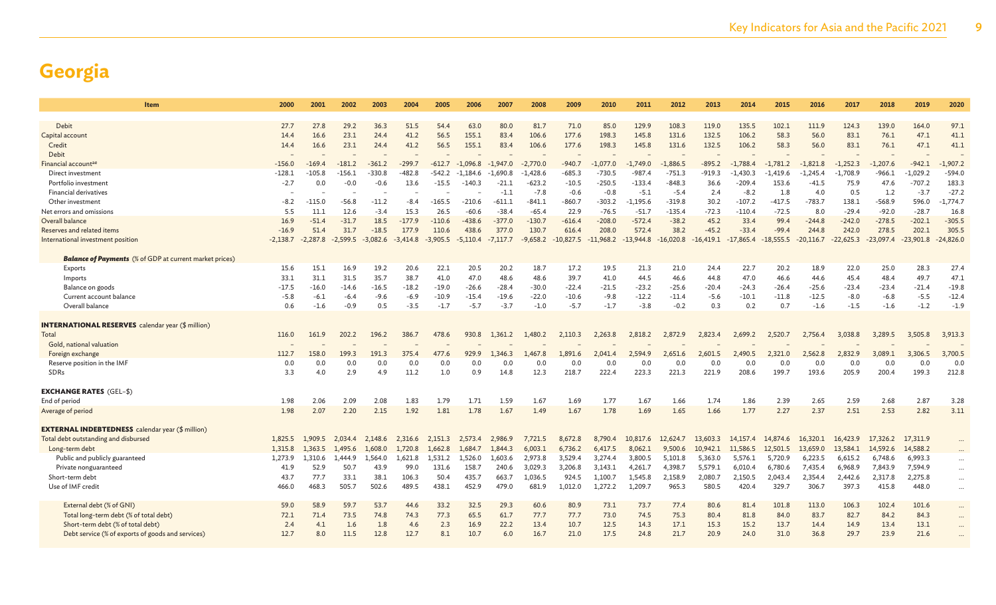| <b>Item</b>                                                    | 2000       | 2001       | 2002       | 2003       | 2004       | 2005       | 2006       | 2007       | 2008       | 2009        | 2010        | 2011        | 2012        | 2013        | 2014        | 2015        | 2016        | 2017        | 2018        | 2019        | 2020        |
|----------------------------------------------------------------|------------|------------|------------|------------|------------|------------|------------|------------|------------|-------------|-------------|-------------|-------------|-------------|-------------|-------------|-------------|-------------|-------------|-------------|-------------|
|                                                                |            |            |            |            |            |            |            |            |            |             |             |             |             |             |             |             |             |             |             |             |             |
| Debit                                                          | 27.7       | 27.8       | 29.2       | 36.3       | 51.5       | 54.4       | 63.0       | 80.0       | 81.7       | 71.0        | 85.0        | 129.9       | 108.3       | 119.0       | 135.5       | 102.1       | 111.9       | 124.3       | 139.0       | 164.0       | 97.1        |
| Capital account                                                | 14.4       | 16.6       | 23.1       | 24.4       | 41.2       | 56.5       | 155.1      | 83.4       | 106.6      | 177.6       | 198.3       | 145.8       | 131.6       | 132.5       | 106.2       | 58.3        | 56.0        | 83.1        | 76.1        | 47.1        | 41.1        |
| Credit                                                         | 14.4       | 16.6       | 23.1       | 24.4       | 41.2       | 56.5       | 155.1      | 83.4       | 106.6      | 177.6       | 198.3       | 145.8       | 131.6       | 132.5       | 106.2       | 58.3        | 56.0        | 83.1        | 76.1        | 47.1        | 41.1        |
| Debit                                                          |            |            |            |            |            |            |            |            |            |             |             |             |             |             |             |             |             |             |             |             |             |
| Financial accountae                                            | $-156.0$   | $-169.4$   | $-181.2$   | $-361.2$   | $-299.7$   | $-612.7$   | $-1.096.8$ | $-1.947.0$ | $-2,770.0$ | $-940.7$    | $-1.077.0$  | $-1.749.0$  | $-1,886.5$  | $-895.2$    | $-1.788.4$  | $-1.781.2$  | $-1.821.8$  | $-1.252.3$  | $-1.207.6$  | $-942.1$    | $-1,907.2$  |
| Direct investment                                              | $-128.1$   | $-105.8$   | $-156.1$   | $-330.8$   | -482.8     | $-542.2$   | $-1,184.6$ | $-1.690.8$ | $-1,428.6$ | $-685.3$    | $-730.5$    | $-987.4$    | $-751.3$    | $-919.3$    | $-1.430.3$  | $-1,419.6$  | $-1,245.4$  | $-1,708.9$  | $-966.1$    | $-1,029.2$  | $-594.0$    |
| Portfolio investment                                           | $-2.7$     | 0.0        | $-0.0$     | $-0.6$     | 13.6       | $-15.5$    | -140.3     | $-21.1$    | $-623.2$   | $-10.5$     | $-250.5$    | $-133.4$    | $-848.3$    | 36.6        | $-209.4$    | 153.6       | $-41.5$     | 75.9        | 47.6        | $-707.2$    | 183.3       |
| Financial derivatives                                          |            |            |            |            |            |            |            | $-1.1$     | $-7.8$     | $-0.6$      | $-0.8$      | $-5.1$      | $-5.4$      | 2.4         | $-8.2$      | 1.8         | 4.0         | 0.5         | 1.2         | $-3.7$      | $-27.2$     |
| Other investment                                               | $-8.2$     | $-115.0$   | $-56.8$    | $-11.2$    | $-8.4$     | $-165.5$   | $-210.6$   | $-611.1$   | $-841.1$   | $-860.7$    | $-303.2$    | $-1.195.6$  | $-319.8$    | 30.2        | $-107.2$    | $-417.5$    | $-783.7$    | 138.1       | $-568.9$    | 596.0       | $-1,774,7$  |
| Net errors and omissions                                       | 5.5        | 11.1       | 12.6       | $-3.4$     | 15.3       | 26.5       | $-60.6$    | $-38.4$    | $-65.4$    | 22.9        | $-76.5$     | $-51.7$     | $-135.4$    | $-72.3$     | $-110.4$    | $-72.5$     | 8.0         | $-29.4$     | $-92.0$     | $-28.7$     | 16.8        |
| Overall balance                                                | 16.9       | $-51.4$    | $-31.7$    | 18.5       | $-177.9$   | $-110.6$   | $-438.6$   | $-377.0$   | $-130.7$   | $-616.4$    | $-208.0$    | $-572.4$    | $-38.2$     | 45.2        | 33.4        | 99.4        | $-244.8$    | $-242.0$    | $-278.5$    | $-202.1$    | $-305.5$    |
| Reserves and related items                                     | $-16.9$    | 51.4       | 31.7       | $-18.5$    | 177.9      | 110.6      | 438.6      | 377.0      | 130.7      | 616.4       | 208.0       | 572.4       | 38.2        | $-45.2$     | $-33.4$     | $-99.4$     | 244.8       | 242.0       | 278.5       | 202.1       | 305.5       |
| International investment position                              | $-2,138.7$ | $-2,287.8$ | $-2,599.5$ | $-3,082.6$ | $-3,414.8$ | $-3,905.5$ | $-5,110.4$ | $-7,117.7$ | $-9,658.2$ | $-10,827.5$ | $-11,968.2$ | $-13,944.8$ | $-16,020.8$ | $-16,419.1$ | $-17,865.4$ | $-18,555.5$ | $-20,116.7$ | $-22,625.3$ | $-23,097.4$ | $-23,901.8$ | $-24,826.0$ |
| <b>Balance of Payments</b> (% of GDP at current market prices) |            |            |            |            |            |            |            |            |            |             |             |             |             |             |             |             |             |             |             |             |             |
| Exports                                                        | 15.6       | 15.1       | 16.9       | 19.2       | 20.6       | 22.1       | 20.5       | 20.2       | 18.7       | 17.2        | 19.5        | 21.3        | 21.0        | 24.4        | 22.7        | 20.2        | 18.9        | 22.0        | 25.0        | 28.3        | 27.4        |
| Imports                                                        | 33.1       | 31.1       | 31.5       | 35.7       | 38.7       | 41.0       | 47.0       | 48.6       | 48.6       | 39.7        | 41.0        | 44.5        | 46.6        | 44.8        | 47.0        | 46.6        | 44.6        | 45.4        | 48.4        | 49.7        | 47.1        |
| Balance on goods                                               | -17.5      | $-16.0$    | $-14.6$    | -16.5      | $-18.2$    | $-19.0$    | $-26.6$    | $-28.4$    | -30.0      | $-22.4$     | $-21.5$     | $-23.2$     | -25.6       | $-20.4$     | $-24.3$     | $-26.4$     | $-25.6$     | $-23.4$     | $-23.4$     | $-21.4$     | $-19.8$     |
| Current account balance                                        | $-5.8$     | $-6.1$     | $-6.4$     | $-9.6$     | -6.9       | $-10.9$    | $-15.4$    | $-19.6$    | $-22.0$    | $-10.6$     | $-9.8$      | $-12.2$     | $-11.4$     | $-5.6$      | $-10.1$     | $-11.8$     | $-12.5$     | $-8.0$      | $-6.8$      | $-5.5$      | $-12.4$     |
| Overall balance                                                | 0.6        | $-1.6$     | $-0.9$     | 0.5        | $-3.5$     | $-1.7$     | $-5.7$     | $-3.7$     | $-1.0$     | $-5.7$      | $-1.7$      | $-3.8$      | $-0.2$      | 0.3         | 0.2         | 0.7         | $-1.6$      | $-1.5$      | $-1.6$      | $-1.2$      | $-1.9$      |
|                                                                |            |            |            |            |            |            |            |            |            |             |             |             |             |             |             |             |             |             |             |             |             |
| <b>INTERNATIONAL RESERVES</b> calendar year (\$ million)       |            |            |            |            |            |            |            |            |            |             |             |             |             |             |             |             |             |             |             |             |             |
| Total                                                          | 116.0      | 161.9      | 202.2      | 196.2      | 386.7      | 478.6      | 930.8      | 1,361.2    | 1,480.2    | 2,110.3     | 2,263.8     | 2,818.2     | 2,872.9     | 2,823.4     | 2,699.2     | 2,520.7     | 2,756.4     | 3,038.8     | 3,289.5     | 3,505.8     | 3,913.3     |
| Gold, national valuation                                       |            |            |            |            |            |            |            |            |            |             |             |             |             |             |             |             |             |             |             |             |             |
| Foreign exchange                                               | 112.7      | 158.0      | 199.3      | 191.3      | 375.4      | 477.6      | 929.9      | L.346.3    | L,467.8    | 1.891.6     | 2.041.4     | 2.594.9     | 2,651.6     | 2,601.5     | 2,490.5     | 2.321.0     | 2,562.8     | 2,832.9     | 3,089.1     | 3,306.5     | 3,700.5     |
| Reserve position in the IMF                                    | 0.0        | 0.0        | 0.0        | 0.0        | 0.0        | 0.0        | 0.0        | 0.0        | 0.0        | 0.0         | 0.0         | 0.0         | 0.0         | 0.0         | 0.0         | 0.0         | 0.0         | 0.0         | 0.0         | 0.0         | 0.0         |
| SDRs                                                           | 3.3        | 4.0        | 2.9        | 4.9        | 11.2       | 1.0        | 0.9        | 14.8       | 12.3       | 218.7       | 222.4       | 223.3       | 221.3       | 221.9       | 208.6       | 199.7       | 193.6       | 205.9       | 200.4       | 199.3       | 212.8       |
|                                                                |            |            |            |            |            |            |            |            |            |             |             |             |             |             |             |             |             |             |             |             |             |
| <b>EXCHANGE RATES</b> (GEL-\$)                                 |            |            |            |            |            |            |            |            |            |             |             |             |             |             |             |             |             |             |             |             |             |
| End of period                                                  | 1.98       | 2.06       | 2.09       | 2.08       | 1.83       | 1.79       | 1.71       | 1.59       | 1.67       | 1.69        | 1.77        | 1.67        | 1.66        | 1.74        | 1.86        | 2.39        | 2.65        | 2.59        | 2.68        | 2.87        | 3.28        |
| Average of period                                              | 1.98       | 2.07       | 2.20       | 2.15       | 1.92       | 1.81       | 1.78       | 1.67       | 1.49       | 1.67        | 1.78        | 1.69        | 1.65        | 1.66        | 1.77        | 2.27        | 2.37        | 2.51        | 2.53        | 2.82        | 3.11        |
|                                                                |            |            |            |            |            |            |            |            |            |             |             |             |             |             |             |             |             |             |             |             |             |
| <b>EXTERNAL INDEBTEDNESS</b> calendar year (\$ million)        |            |            |            |            |            |            |            |            |            |             |             |             |             |             |             |             |             |             |             |             |             |
| Total debt outstanding and disbursed                           | 1,825.5    | 1,909.5    | 2.034.4    | 2,148.6    | 2,316.6    | 2,151.3    | 2,573.4    | 2,986.9    | 7,721.5    | 8,672.8     | 8,790.4     | 10,817.6    | 12,624.7    | 13,603.3    | 14,157.4    | 14,874.6    | 16,320.1    | 16,423.9    | 17,326.2    | 17,311.9    |             |
| Long-term debt                                                 | 1.315.8    | 1.363.5    | 1.495.6    | 1,608.0    | 1,720.8    | 1.662.8    | 1.684.7    | 1.844.3    | 6,003.1    | 6,736.2     | 6,417.5     | 8.062.1     | 9.500.6     | 10,942.1    | 11.586.5    | 12.501.5    | 13,659.0    | 13,584.1    | 14,592.6    | 14,588.2    |             |
| Public and publicly guaranteed                                 | 1,273.9    | 1,310.6    | 1.444.9    | 1.564.0    | 1,621.8    | 1,531.2    | 1,526.0    | 1,603.6    | 2,973.8    | 3,529.4     | 3,274.4     | 3,800.5     | 5,101.8     | 5,363.0     | 5,576.1     | 5,720.9     | 6,223.5     | 6,615.2     | 6,748.6     | 6,993.3     |             |
| Private nonguaranteed                                          | 41.9       | 52.9       | 50.7       | 43.9       | 99.0       | 131.6      | 158.7      | 240.6      | 3,029.3    | 3,206.8     | 3,143.1     | 4,261.7     | 4,398.7     | 5,579.1     | 6,010.4     | 6,780.6     | 7,435.4     | 6,968.9     | 7,843.9     | 7,594.9     | $\ddotsc$   |
| Short-term debt                                                | 43.7       | 77.7       | 33.1       | 38.1       | 106.3      | 50.4       | 435.7      | 663.7      | 1.036.5    | 924.5       | 1,100.7     | 1,545.8     | 2,158.9     | 2,080.7     | 2,150.5     | 2,043.4     | 2,354.4     | 2,442.6     | 2,317.8     | 2,275.8     | $\cdots$    |
| Use of IMF credit                                              | 466.0      | 468.3      | 505.7      | 502.6      | 489.5      | 438.1      | 452.9      | 479.0      | 681.9      | 1,012.0     | 1,272.2     | 1,209.7     | 965.3       | 580.5       | 420.4       | 329.7       | 306.7       | 397.3       | 415.8       | 448.0       | $\cdots$    |
|                                                                |            |            |            |            |            |            |            |            |            |             |             |             |             |             |             |             |             |             |             |             |             |
| External debt (% of GNI)                                       | 59.0       | 58.9       | 59.        | 53.7       | 44.6       | 33.2       | 32.5       | 29.3       | 60.6       | 80.9        | 73.1        | 73.7        | 77.4        | 80.6        | 81.4        | 101.8       | 113.0       | 106.3       | 102.4       | 101.6       | $\cdots$    |
| Total long-term debt (% of total debt)                         | 72.1       | 71.4       | 73.5       | 74.8       | 74.3       | 77.3       | 65.5       | 61.7       | 77.7       | 77.7        | 73.0        | 74.5        | 75.3        | 80.4        | 81.8        | 84.0        | 83.7        | 82.7        | 84.2        | 84.3        |             |
| Short-term debt (% of total debt)                              | 2.4        | 4.1        | 1.6        | 1.8        | 4.6        | 2.3        | 16.9       | 22.2       | 13.4       | 10.7        | 12.5        | 14.3        | 17.1        | 15.3        | 15.2        | 13.7        | 14.4        | 14.9        | 13.4        | 13.1        | $\cdots$    |
| Debt service (% of exports of goods and services)              | 12.7       | 8.0        | 11.5       | 12.8       | 12.7       | 8.1        | 10.7       | 6.0        | 16.7       | 21.0        | 17.5        | 24.8        | 21.7        | 20.9        | 24.0        | 31.0        | 36.8        | 29.7        | 23.9        | 21.6        |             |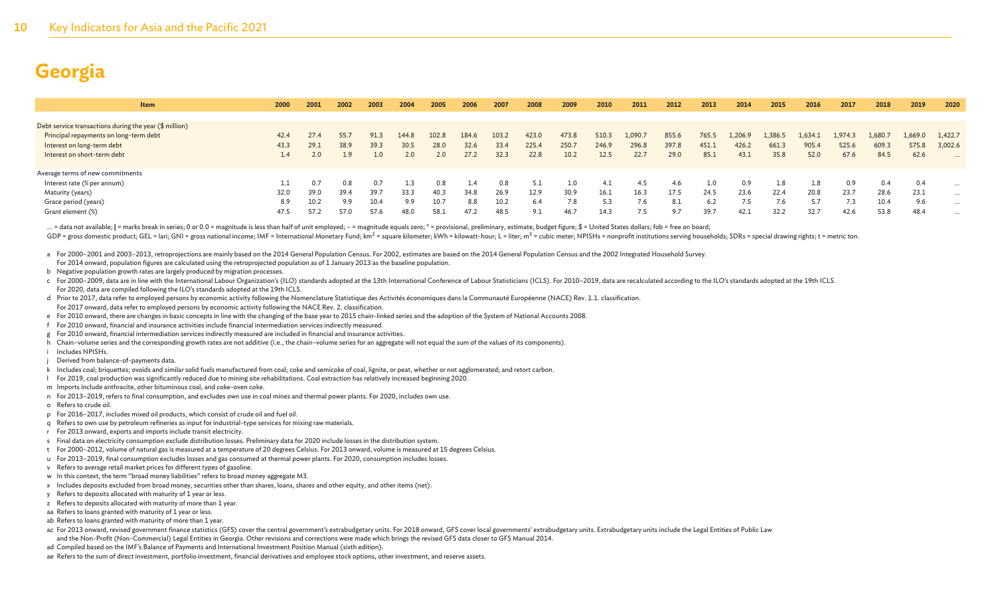| <b>Item</b>                                              | 2000 | 2001 | 2002 | 2003 | 2004     | 2005  | 2006  | 2007  | 2008  | 2009  | 2010  | 2011   | 2012  | 2013  | 2014   | 2015    | 2016       | 2017    | 2018    | 2019    | 2020     |
|----------------------------------------------------------|------|------|------|------|----------|-------|-------|-------|-------|-------|-------|--------|-------|-------|--------|---------|------------|---------|---------|---------|----------|
|                                                          |      |      |      |      |          |       |       |       |       |       |       |        |       |       |        |         |            |         |         |         |          |
| Debt service transactions during the year $(\$$ million) |      |      |      |      |          |       |       |       |       |       |       |        |       |       |        |         |            |         |         |         |          |
| Principal repayments on long-term debt                   | 42.4 | 27.4 | 55.7 | 91.3 | 144.8    | 102.8 | 184.6 | 103.2 | 423.0 | 473.8 | 510.3 | 1,090. | 855.6 | 765.5 | 1,206. | 1,386.5 | 1,634.1    | 1,974.3 | 1,680.7 | 1,669.0 | 1,422.7  |
| Interest on long-term debt                               | 43.3 | 29.1 | 38.9 | 39.3 | 30.5     | 28.0  | 32.6  | 33.4  | 225.4 | 250.7 | 246.9 | 296.8  | 397.8 | 451.1 | 426.2  | 661.3   | 905.4      | 525.6   | 609.3   | 575.8   | 3,002.6  |
| Interest on short-term debt                              | 1.4  |      | 1.9  |      | 2.0      | 2.0   |       | 32.3  | 22.8  | 10.2  | 12.5  | 22.7   | 29.0  | 85.1  | 43.1   | 35.8    | 52.0       | 67.6    | 84.5    | 62.6    | $\cdots$ |
|                                                          |      |      |      |      |          |       |       |       |       |       |       |        |       |       |        |         |            |         |         |         |          |
| Average terms of new commitments                         |      |      |      |      |          |       |       |       |       |       |       |        |       |       |        |         |            |         |         |         |          |
| Interest rate (% per annum)                              |      | 0.7  | 0.8  |      | $\pm .3$ | 0.8   |       | 0.8   | -5.1  |       | 4.1   | 4.5    | 4.6   |       | 0.9    | 1.8     | <b>1.8</b> | 0.9     | 0.4     | 0.4     | $\cdots$ |
| Maturity (years)                                         | 32.0 | 39.0 | 39.4 | 39.7 | 33.3     | 40.3  | 34.8  | 26.9  | 12.9  | 30.9  | 16.1  | 16.3   | 17.5  | 24.5  | 23.6   | 22.4    | 20.8       | 23.7    | 28.6    | 23.1    | $\cdots$ |
| Grace period (years)                                     | 8.9  | 10.2 | 99   | 10.4 | 9.9      | 10.7  | 8.8   | 10.2  | 6.4   | 7.8   | 5.3   | 7.6    | 8.1   | 6.2   | 7.5    | 5.      |            |         | 10.4    | 9.6     | $\cdots$ |
| Grant element (%)                                        | 47.5 | 57.2 |      | 57.6 | 48.0     | 58.1  |       | 48.5  | 9.1   | 46.7  | 14.3  | 7.5    | 9.7   | 39.7  | 42.1   | 32.2    | 32.7       | 42.6    | 53.8    | 48.4    | $\cdots$ |

... = data not available; | = marks break in series; 0 or 0.0 = magnitude is less than half of unit employed; - = magnitude equals zero; \* = provisional, preliminary, estimate, budget figure; \$ = United States dollars; fob GDP = gross domestic product; GEL = lari; GNI = gross national income; IMF = International Monetary Fund; km<sup>2</sup> = square kilometer; kWh = kilowatt-hour; L = liter; m<sup>3</sup> = cubic meter; NPISHs = nonprofit institutions servin

a For 2000–2001 and 2003–2013, retroprojections are mainly based on the 2014 General Population Census. For 2002, estimates are based on the 2014 General Population Census and the 2002 Integrated Household Survey.

- For 2014 onward, population figures are calculated using the retroprojected population as of 1 January 2013 as the baseline population.
- b Negative population growth rates are largely produced by migration processes.

c For 2000-2009, data are in line with the International Labour Organization's (ILO) standards adopted at the 13th International Conference of Labour Statisticians (ICLS). For 2010-2019, data are recalculated according to For 2020, data are compiled following the ILO's standards adopted at the 19th ICLS.

- d Prior to 2017, data refer to employed persons by economic activity following the Nomenclature Statistique des Activités économiques dans la Communauté Européenne (NACE) Rev. 1.1. classification. For 2017 onward, data refer to employed persons by economic activity following the NACE Rev. 2. classification.
- e For 2010 onward, there are changes in basic concepts in line with the changing of the base year to 2015 chain-linked series and the adoption of the System of National Accounts 2008.
- f For 2010 onward, financial and insurance activities include financial intermediation services indirectly measured.
- g For 2010 onward, financial intermediation services indirectly measured are included in financial and insurance activities.
- h Chain–volume series and the corresponding growth rates are not additive (i.e., the chain–volume series for an aggregate will not equal the sum of the values of its components).
- i Includes NPISHs.
- Derived from balance-of-payments data.
- k Includes coal; briquettes; ovoids and similar solid fuels manufactured from coal; coke and semicoke of coal, lignite, or peat, whether or not agglomerated; and retort carbon.
- l For 2019, coal production was significantly reduced due to mining site rehabilitations. Coal extraction has relatively increased beginning 2020.
- m Imports include anthracite, other bituminous coal, and coke-oven coke.
- n For 2013–2019, refers to final consumption, and excludes own use in coal mines and thermal power plants. For 2020, includes own use.
- o Refers to crude oil.
- p For 2016–2017, includes mixed oil products, which consist of crude oil and fuel oil.
- q Refers to own use by petroleum refineries as input for industrial-type services for mixing raw materials.
- r For 2013 onward, exports and imports include transit electricity.
- s Final data on electricity consumption exclude distribution losses. Preliminary data for 2020 include losses in the distribution system.
- t For 2000–2012, volume of natural gas is measured at a temperature of 20 degrees Celsius. For 2013 onward, volume is measured at 15 degrees Celsius.
- u For 2013–2019, final consumption excludes losses and gas consumed at thermal power plants. For 2020, consumption includes losses.
- v Refers to average retail market prices for different types of gasoline.
- w In this context, the term "broad money liabilities" refers to broad money aggregate M3.
- x Includes deposits excluded from broad money, securities other than shares, loans, shares and other equity, and other items (net).
- y Refers to deposits allocated with maturity of 1 year or less.
- z Refers to deposits allocated with maturity of more than 1 year.
- aa Refers to loans granted with maturity of 1 year or less.
- ab Refers to loans granted with maturity of more than 1 year.
- ac For 2013 onward, revised government finance statistics (GFS) cover the central government's extrabudgetary units. For 2018 onward, GFS cover local governments' extrabudgetary units. Extrabudgetary units include the Lega and the Non-Profit (Non-Commercial) Legal Entities in Georgia. Other revisions and corrections were made which brings the revised GFS data closer to GFS Manual 2014.
- ad Compiled based on the IMF's Balance of Payments and International Investment Position Manual (sixth edition).
- ae Refers to the sum of direct investment, portfolio investment, financial derivatives and employee stock options, other investment, and reserve assets.